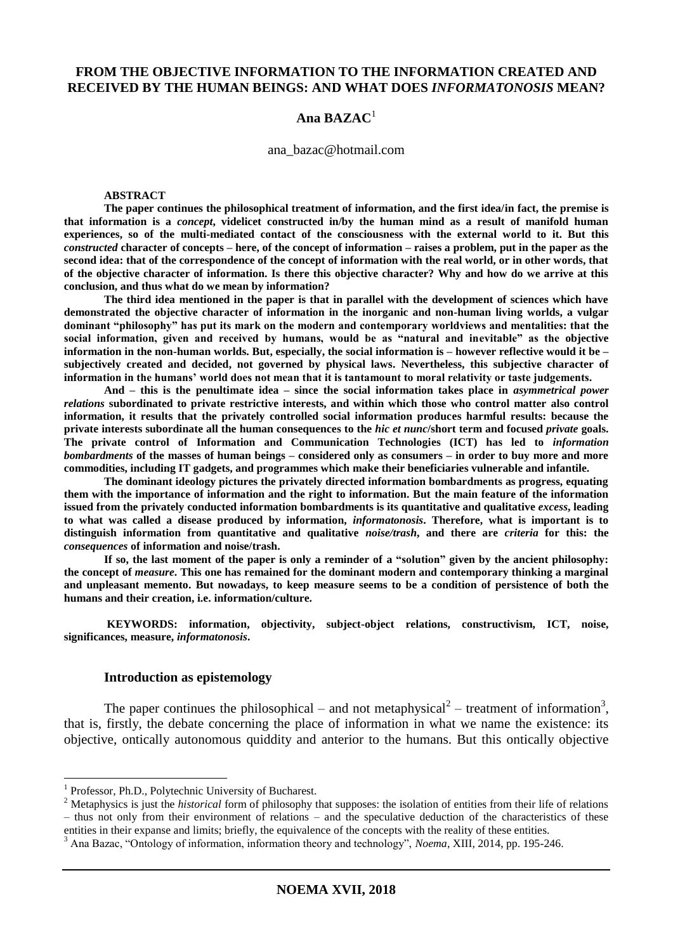# **FROM THE OBJECTIVE INFORMATION TO THE INFORMATION CREATED AND RECEIVED BY THE HUMAN BEINGS: AND WHAT DOES** *INFORMATONOSIS* **MEAN?**

### **Ana BAZAC**<sup>1</sup>

ana\_bazac@hotmail.com

#### **ABSTRACT**

**The paper continues the philosophical treatment of information, and the first idea/in fact, the premise is that information is a** *concept***, videlicet constructed in/by the human mind as a result of manifold human experiences, so of the multi-mediated contact of the consciousness with the external world to it. But this**  *constructed* **character of concepts – here, of the concept of information – raises a problem, put in the paper as the second idea: that of the correspondence of the concept of information with the real world, or in other words, that of the objective character of information. Is there this objective character? Why and how do we arrive at this conclusion, and thus what do we mean by information?** 

**The third idea mentioned in the paper is that in parallel with the development of sciences which have demonstrated the objective character of information in the inorganic and non-human living worlds, a vulgar dominant "philosophy" has put its mark on the modern and contemporary worldviews and mentalities: that the social information, given and received by humans, would be as "natural and inevitable" as the objective information in the non-human worlds. But, especially, the social information is – however reflective would it be – subjectively created and decided, not governed by physical laws. Nevertheless, this subjective character of information in the humans' world does not mean that it is tantamount to moral relativity or taste judgements.**

**And – this is the penultimate idea – since the social information takes place in** *asymmetrical power relations* **subordinated to private restrictive interests, and within which those who control matter also control information, it results that the privately controlled social information produces harmful results: because the private interests subordinate all the human consequences to the** *hic et nunc***/short term and focused** *private* **goals. The private control of Information and Communication Technologies (ICT) has led to** *information bombardments* **of the masses of human beings – considered only as consumers – in order to buy more and more commodities, including IT gadgets, and programmes which make their beneficiaries vulnerable and infantile.** 

**The dominant ideology pictures the privately directed information bombardments as progress, equating them with the importance of information and the right to information. But the main feature of the information issued from the privately conducted information bombardments is its quantitative and qualitative** *excess***, leading to what was called a disease produced by information,** *informatonosis***. Therefore, what is important is to distinguish information from quantitative and qualitative** *noise/trash***, and there are** *criteria* **for this: the**  *consequences* **of information and noise/trash.**

**If so, the last moment of the paper is only a reminder of a "solution" given by the ancient philosophy: the concept of** *measure***. This one has remained for the dominant modern and contemporary thinking a marginal and unpleasant memento. But nowadays, to keep measure seems to be a condition of persistence of both the humans and their creation, i.e. information/culture.**

**KEYWORDS: information, objectivity, subject-object relations, constructivism, ICT, noise, significances, measure,** *informatonosis***.**

#### **Introduction as epistemology**

The paper continues the philosophical – and not metaphysical<sup>2</sup> – treatment of information<sup>3</sup>, that is, firstly, the debate concerning the place of information in what we name the existence: its objective, ontically autonomous quiddity and anterior to the humans. But this ontically objective

<sup>&</sup>lt;sup>1</sup> Professor, Ph.D., Polytechnic University of Bucharest.

<sup>&</sup>lt;sup>2</sup> Metaphysics is just the *historical* form of philosophy that supposes: the isolation of entities from their life of relations – thus not only from their environment of relations – and the speculative deduction of the characteristics of these entities in their expanse and limits; briefly, the equivalence of the concepts with the reality of these entities.

<sup>&</sup>lt;sup>3</sup> Ana Bazac, "Ontology of information, information theory and technology", *Noema*, XIII, 2014, pp. 195-246.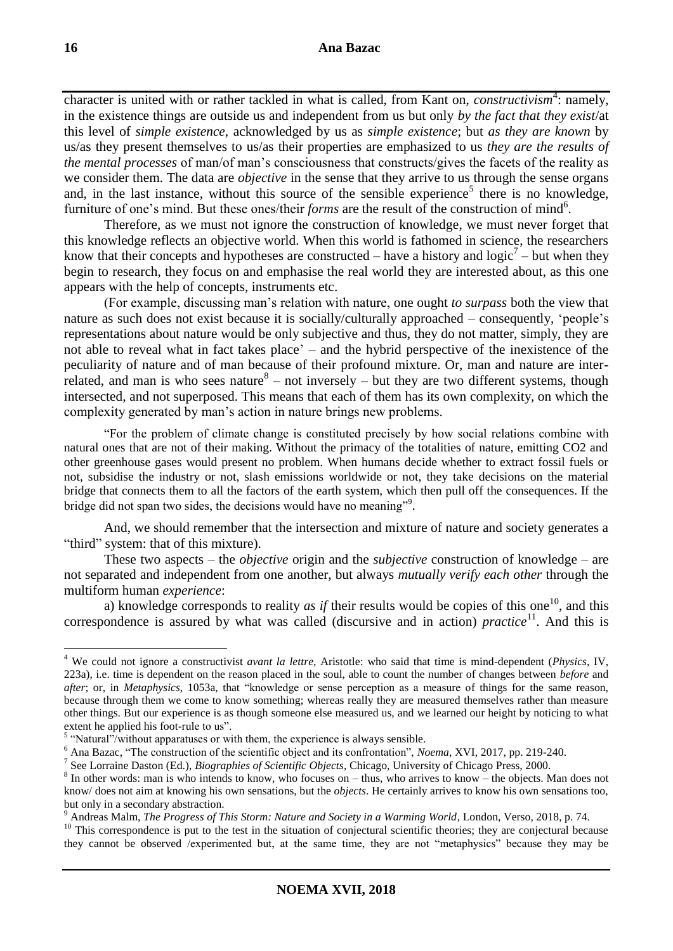character is united with or rather tackled in what is called, from Kant on, *constructivism*<sup>4</sup>: namely, in the existence things are outside us and independent from us but only *by the fact that they exist*/at this level of *simple existence*, acknowledged by us as *simple existence*; but *as they are known* by us/as they present themselves to us/as their properties are emphasized to us *they are the results of the mental processes* of man/of man's consciousness that constructs/gives the facets of the reality as we consider them. The data are *objective* in the sense that they arrive to us through the sense organs and, in the last instance, without this source of the sensible experience<sup>5</sup> there is no knowledge, furniture of one's mind. But these ones/their *forms* are the result of the construction of mind<sup>6</sup>.

Therefore, as we must not ignore the construction of knowledge, we must never forget that this knowledge reflects an objective world. When this world is fathomed in science, the researchers know that their concepts and hypotheses are constructed – have a history and logic<sup>7</sup> – but when they begin to research, they focus on and emphasise the real world they are interested about, as this one appears with the help of concepts, instruments etc.

(For example, discussing man's relation with nature, one ought *to surpass* both the view that nature as such does not exist because it is socially/culturally approached – consequently, 'people's representations about nature would be only subjective and thus, they do not matter, simply, they are not able to reveal what in fact takes place' – and the hybrid perspective of the inexistence of the peculiarity of nature and of man because of their profound mixture. Or, man and nature are interrelated, and man is who sees nature  $8 -$  not inversely  $-$  but they are two different systems, though intersected, and not superposed. This means that each of them has its own complexity, on which the complexity generated by man's action in nature brings new problems.

"For the problem of climate change is constituted precisely by how social relations combine with natural ones that are not of their making. Without the primacy of the totalities of nature, emitting CO2 and other greenhouse gases would present no problem. When humans decide whether to extract fossil fuels or not, subsidise the industry or not, slash emissions worldwide or not, they take decisions on the material bridge that connects them to all the factors of the earth system, which then pull off the consequences. If the bridge did not span two sides, the decisions would have no meaning"<sup>9</sup>.

And, we should remember that the intersection and mixture of nature and society generates a "third" system: that of this mixture).

These two aspects – the *objective* origin and the *subjective* construction of knowledge – are not separated and independent from one another, but always *mutually verify each other* through the multiform human *experience*:

a) knowledge corresponds to reality *as if* their results would be copies of this one<sup>10</sup>, and this correspondence is assured by what was called (discursive and in action) *practice*<sup>11</sup>. And this is

<sup>4</sup> We could not ignore a constructivist *avant la lettre*, Aristotle: who said that time is mind-dependent (*Physics*, IV, 223a), i.e. time is dependent on the reason placed in the soul, able to count the number of changes between *before* and *after*; or, in *Metaphysics*, 1053a, that "knowledge or sense perception as a measure of things for the same reason, because through them we come to know something; whereas really they are measured themselves rather than measure other things. But our experience is as though someone else measured us, and we learned our height by noticing to what extent he applied his foot-rule to us".

 $<sup>5</sup>$  "Natural"/without apparatuses or with them, the experience is always sensible.</sup>

<sup>6</sup> Ana Bazac, "The construction of the scientific object and its confrontation", *Noema*, XVI, 2017, pp. 219-240.

<sup>7</sup> See Lorraine Daston (Ed.), *Biographies of Scientific Objects*, Chicago, University of Chicago Press, 2000.

<sup>&</sup>lt;sup>8</sup> In other words: man is who intends to know, who focuses on – thus, who arrives to know – the objects. Man does not know/ does not aim at knowing his own sensations, but the *objects*. He certainly arrives to know his own sensations too, but only in a secondary abstraction.

<sup>&</sup>lt;sup>9</sup> Andreas Malm, *The Progress of This Storm: Nature and Society in a Warming World*, London, Verso, 2018, p. 74.

 $10$  This correspondence is put to the test in the situation of conjectural scientific theories; they are conjectural because they cannot be observed /experimented but, at the same time, they are not "metaphysics" because they may be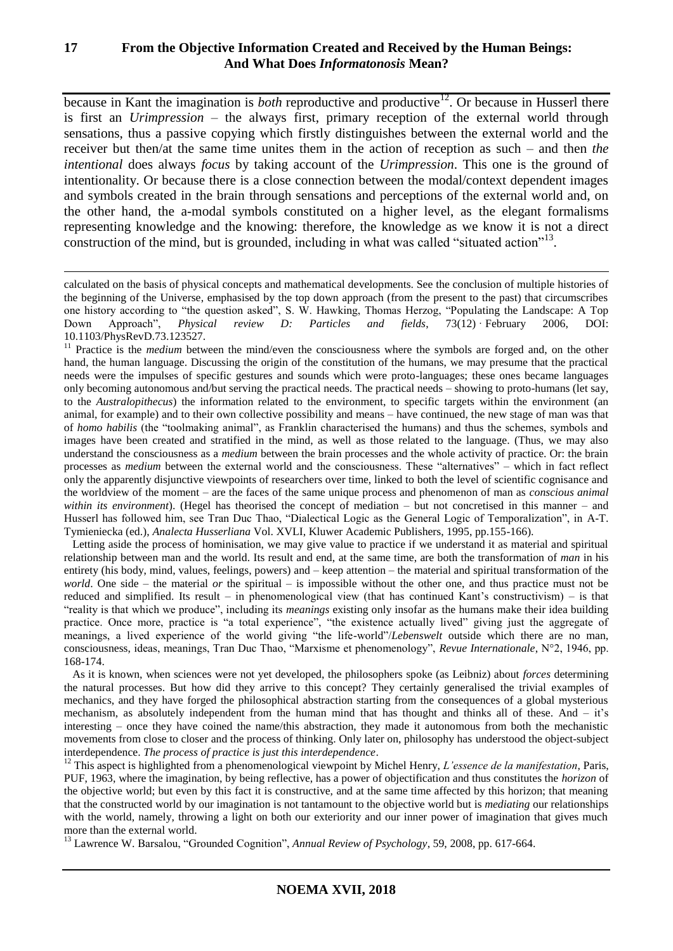# **17 From the Objective Information Created and Received by the Human Beings: And What Does** *Informatonosis* **Mean?**

because in Kant the imagination is *both* reproductive and productive<sup>12</sup>. Or because in Husserl there is first an *Urimpression* – the always first, primary reception of the external world through sensations, thus a passive copying which firstly distinguishes between the external world and the receiver but then/at the same time unites them in the action of reception as such – and then *the intentional* does always *focus* by taking account of the *Urimpression*. This one is the ground of intentionality. Or because there is a close connection between the modal/context dependent images and symbols created in the brain through sensations and perceptions of the external world and, on the other hand, the a-modal symbols constituted on a higher level, as the elegant formalisms representing knowledge and the knowing: therefore, the knowledge as we know it is not a direct construction of the mind, but is grounded, including in what was called "situated action"<sup>13</sup>.

1

<sup>11</sup> Practice is the *medium* between the mind/even the consciousness where the symbols are forged and, on the other hand, the human language. Discussing the origin of the constitution of the humans, we may presume that the practical needs were the impulses of specific gestures and sounds which were proto-languages; these ones became languages only becoming autonomous and/but serving the practical needs. The practical needs – showing to proto-humans (let say, to the *Australopithecus*) the information related to the environment, to specific targets within the environment (an animal, for example) and to their own collective possibility and means – have continued, the new stage of man was that of *homo habilis* (the "toolmaking animal", as Franklin characterised the humans) and thus the schemes, symbols and images have been created and stratified in the mind, as well as those related to the language. (Thus, we may also understand the consciousness as a *medium* between the brain processes and the whole activity of practice. Or: the brain processes as *medium* between the external world and the consciousness. These "alternatives" – which in fact reflect only the apparently disjunctive viewpoints of researchers over time, linked to both the level of scientific cognisance and the worldview of the moment – are the faces of the same unique process and phenomenon of man as *conscious animal within its environment*). (Hegel has theorised the concept of mediation – but not concretised in this manner – and Husserl has followed him, see Tran Duc Thao, "Dialectical Logic as the General Logic of Temporalization", in A-T. Tymieniecka (ed.), *Analecta Husserliana* Vol. XVLI, Kluwer Academic Publishers, 1995, pp.155-166).

 Letting aside the process of hominisation, we may give value to practice if we understand it as material and spiritual relationship between man and the world. Its result and end, at the same time, are both the transformation of *man* in his entirety (his body, mind, values, feelings, powers) and – keep attention – the material and spiritual transformation of the *world*. One side – the material *or* the spiritual – is impossible without the other one, and thus practice must not be reduced and simplified. Its result – in phenomenological view (that has continued Kant's constructivism) – is that "reality is that which we produce", including its *meanings* existing only insofar as the humans make their idea building practice. Once more, practice is "a total experience", "the existence actually lived" giving just the aggregate of meanings, a lived experience of the world giving "the life-world"/*Lebenswelt* outside which there are no man, consciousness, ideas, meanings, Tran Duc Thao, "Marxisme et phenomenology", *Revue Internationale*, N°2, 1946, pp. 168-174.

 As it is known, when sciences were not yet developed, the philosophers spoke (as Leibniz) about *forces* determining the natural processes. But how did they arrive to this concept? They certainly generalised the trivial examples of mechanics, and they have forged the philosophical abstraction starting from the consequences of a global mysterious mechanism, as absolutely independent from the human mind that has thought and thinks all of these. And – it's interesting – once they have coined the name/this abstraction, they made it autonomous from both the mechanistic movements from close to closer and the process of thinking. Only later on, philosophy has understood the object-subject interdependence. *The process of practice is just this interdependence*.

<sup>12</sup> This aspect is highlighted from a phenomenological viewpoint by Michel Henry, *L'essence de la manifestation*, Paris, PUF, 1963, where the imagination, by being reflective, has a power of objectification and thus constitutes the *horizon* of the objective world; but even by this fact it is constructive, and at the same time affected by this horizon; that meaning that the constructed world by our imagination is not tantamount to the objective world but is *mediating* our relationships with the world, namely, throwing a light on both our exteriority and our inner power of imagination that gives much more than the external world.

<sup>13</sup> Lawrence W. Barsalou, "Grounded Cognition", *Annual Review of Psychology*, 59, 2008, pp. 617-664.

calculated on the basis of physical concepts and mathematical developments. See the conclusion of multiple histories of the beginning of the Universe, emphasised by the top down approach (from the present to the past) that circumscribes one history according to "the question asked", S. W. Hawking, Thomas Herzog, "Populating the Landscape: A Top Down Approach", *Physical review D: Particles and fields*, 73(12) · February 2006, DOI: 10.1103/PhysRevD.73.123527.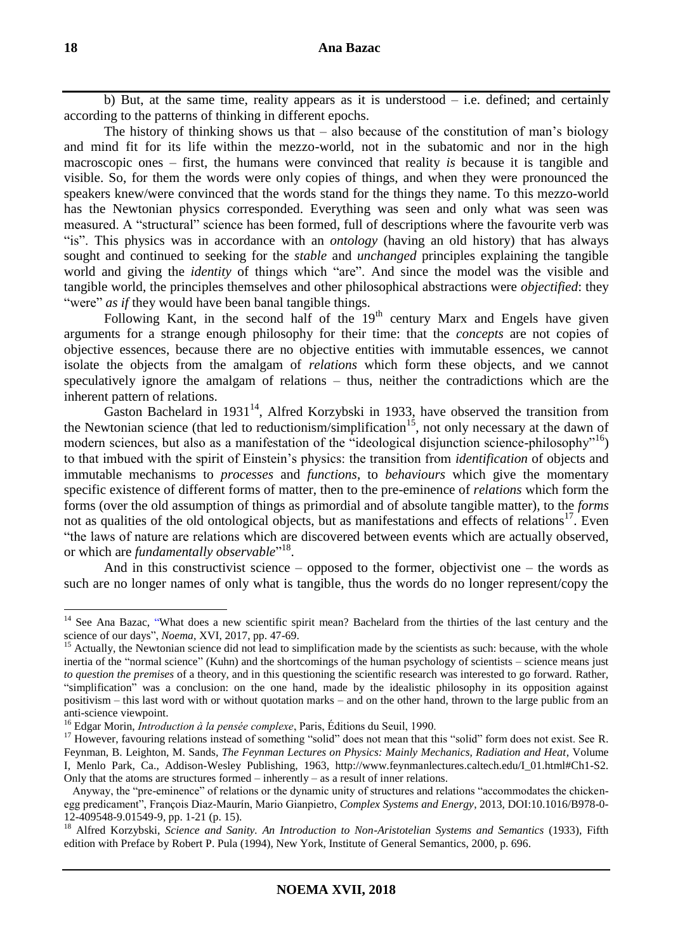b) But, at the same time, reality appears as it is understood  $-$  i.e. defined; and certainly according to the patterns of thinking in different epochs.

The history of thinking shows us that  $-$  also because of the constitution of man's biology and mind fit for its life within the mezzo-world, not in the subatomic and nor in the high macroscopic ones – first, the humans were convinced that reality *is* because it is tangible and visible. So, for them the words were only copies of things, and when they were pronounced the speakers knew/were convinced that the words stand for the things they name. To this mezzo-world has the Newtonian physics corresponded. Everything was seen and only what was seen was measured. A "structural" science has been formed, full of descriptions where the favourite verb was "is". This physics was in accordance with an *ontology* (having an old history) that has always sought and continued to seeking for the *stable* and *unchanged* principles explaining the tangible world and giving the *identity* of things which "are". And since the model was the visible and tangible world, the principles themselves and other philosophical abstractions were *objectified*: they "were" *as if* they would have been banal tangible things.

Following Kant, in the second half of the  $19<sup>th</sup>$  century Marx and Engels have given arguments for a strange enough philosophy for their time: that the *concepts* are not copies of objective essences, because there are no objective entities with immutable essences, we cannot isolate the objects from the amalgam of *relations* which form these objects, and we cannot speculatively ignore the amalgam of relations – thus, neither the contradictions which are the inherent pattern of relations.

Gaston Bachelard in 1931<sup>14</sup>, Alfred Korzybski in 1933, have observed the transition from the Newtonian science (that led to reductionism/simplification<sup>15</sup>, not only necessary at the dawn of modern sciences, but also as a manifestation of the "ideological disjunction science-philosophy"<sup>16</sup>) to that imbued with the spirit of Einstein's physics: the transition from *identification* of objects and immutable mechanisms to *processes* and *functions*, to *behaviours* which give the momentary specific existence of different forms of matter, then to the pre-eminence of *relations* which form the forms (over the old assumption of things as primordial and of absolute tangible matter), to the *forms* not as qualities of the old ontological objects, but as manifestations and effects of relations $17$ . Even "the laws of nature are relations which are discovered between events which are actually observed, or which are *fundamentally observable*"<sup>18</sup>.

And in this constructivist science – opposed to the former, objectivist one – the words as such are no longer names of only what is tangible, thus the words do no longer represent/copy the

<sup>&</sup>lt;sup>14</sup> See Ana Bazac, "What does a new scientific spirit mean? Bachelard from the thirties of the last century and the [science of our days"](http://noema.crifst.ro/ARHIVA/2017_02_01.pdf), *Noema*, XVI, 2017, pp. 47-69.

<sup>&</sup>lt;sup>15</sup> Actually, the Newtonian science did not lead to simplification made by the scientists as such: because, with the whole inertia of the "normal science" (Kuhn) and the shortcomings of the human psychology of scientists – science means just *to question the premises* of a theory, and in this questioning the scientific research was interested to go forward. Rather, "simplification" was a conclusion: on the one hand, made by the idealistic philosophy in its opposition against positivism – this last word with or without quotation marks – and on the other hand, thrown to the large public from an anti-science viewpoint.

<sup>16</sup> Edgar Morin, *Introduction à la pensée complexe*, Paris, Éditions du Seuil, 1990.

<sup>&</sup>lt;sup>17</sup> However, favouring relations instead of something "solid" does not mean that this "solid" form does not exist. See R. Feynman, B. Leighton, M. Sands*, The Feynman Lectures on Physics: Mainly Mechanics, Radiation and Heat*, Volume I, Menlo Park, Ca., Addison-Wesley Publishing, 1963, http://www.feynmanlectures.caltech.edu/I\_01.html#Ch1-S2. Only that the atoms are structures formed  $-$  inherently  $-$  as a result of inner relations.

Anyway, the "pre-eminence" of relations or the dynamic unity of structures and relations "accommodates the chickenegg predicament", François Diaz-Maurín, Mario Gianpietro, *Complex Systems and Energy*, 2013, DOI:10.1016/B978-0-  $12-409548-9.01549-9$ , pp. 1-21 (p. 15).

<sup>18</sup> Alfred Korzybski, *Science and Sanity. An Introduction to Non-Aristotelian Systems and Semantics* (1933), Fifth edition with Preface by Robert P. Pula (1994), New York, Institute of General Semantics, 2000, p. 696.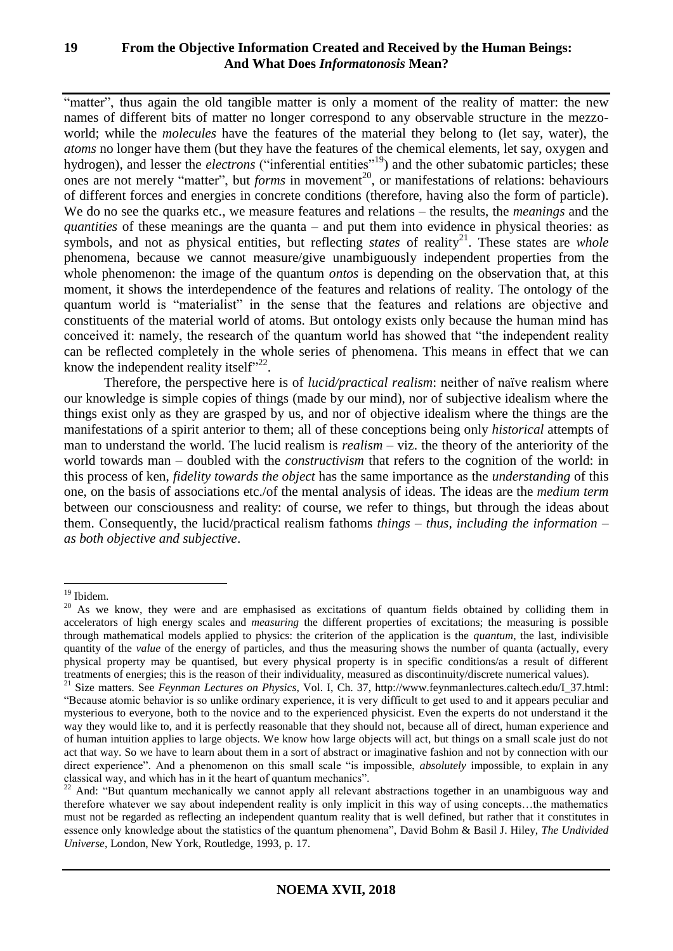"matter", thus again the old tangible matter is only a moment of the reality of matter: the new names of different bits of matter no longer correspond to any observable structure in the mezzoworld; while the *molecules* have the features of the material they belong to (let say, water), the *atoms* no longer have them (but they have the features of the chemical elements, let say, oxygen and hydrogen), and lesser the *electrons* ("inferential entities"<sup>19</sup>) and the other subatomic particles; these ones are not merely "matter", but *forms* in movement<sup>20</sup>, or manifestations of relations: behaviours of different forces and energies in concrete conditions (therefore, having also the form of particle). We do no see the quarks etc., we measure features and relations – the results, the *meanings* and the *quantities* of these meanings are the quanta – and put them into evidence in physical theories: as symbols, and not as physical entities, but reflecting *states* of reality<sup>21</sup>. These states are *whole* phenomena, because we cannot measure/give unambiguously independent properties from the whole phenomenon: the image of the quantum *ontos* is depending on the observation that, at this moment, it shows the interdependence of the features and relations of reality. The ontology of the quantum world is "materialist" in the sense that the features and relations are objective and constituents of the material world of atoms. But ontology exists only because the human mind has conceived it: namely, the research of the quantum world has showed that "the independent reality can be reflected completely in the whole series of phenomena. This means in effect that we can know the independent reality itself" $^{22}$ .

Therefore, the perspective here is of *lucid/practical realism*: neither of naïve realism where our knowledge is simple copies of things (made by our mind), nor of subjective idealism where the things exist only as they are grasped by us, and nor of objective idealism where the things are the manifestations of a spirit anterior to them; all of these conceptions being only *historical* attempts of man to understand the world. The lucid realism is *realism* – viz. the theory of the anteriority of the world towards man – doubled with the *constructivism* that refers to the cognition of the world: in this process of ken, *fidelity towards the object* has the same importance as the *understanding* of this one, on the basis of associations etc./of the mental analysis of ideas. The ideas are the *medium term* between our consciousness and reality: of course, we refer to things, but through the ideas about them. Consequently, the lucid/practical realism fathoms *things – thus, including the information – as both objective and subjective*.

<sup>&</sup>lt;sup>19</sup> Ibidem.

<sup>&</sup>lt;sup>20</sup> As we know, they were and are emphasised as excitations of quantum fields obtained by colliding them in accelerators of high energy scales and *measuring* the different properties of excitations; the measuring is possible through mathematical models applied to physics: the criterion of the application is the *quantum*, the last, indivisible quantity of the *value* of the energy of particles, and thus the measuring shows the number of quanta (actually, every physical property may be quantised, but every physical property is in specific conditions/as a result of different treatments of energies; this is the reason of their individuality, measured as discontinuity/discrete numerical values).

<sup>&</sup>lt;sup>21</sup> Size matters. See *Feynman Lectures on Physics*, Vol. I, Ch. 37, http://www.feynmanlectures.caltech.edu/I\_37.html: "Because atomic behavior is so unlike ordinary experience, it is very difficult to get used to and it appears peculiar and mysterious to everyone, both to the novice and to the experienced physicist. Even the experts do not understand it the way they would like to, and it is perfectly reasonable that they should not, because all of direct, human experience and of human intuition applies to large objects. We know how large objects will act, but things on a small scale just do not act that way. So we have to learn about them in a sort of abstract or imaginative fashion and not by connection with our direct experience". And a phenomenon on this small scale "is impossible, *absolutely* impossible, to explain in any classical way, and which has in it the heart of quantum mechanics".

<sup>&</sup>lt;sup>22</sup> And: "But quantum mechanically we cannot apply all relevant abstractions together in an unambiguous way and therefore whatever we say about independent reality is only implicit in this way of using concepts…the mathematics must not be regarded as reflecting an independent quantum reality that is well defined, but rather that it constitutes in essence only knowledge about the statistics of the quantum phenomena", David Bohm & Basil J. Hiley, *The Undivided Universe*, London, New York, Routledge, 1993, p. 17.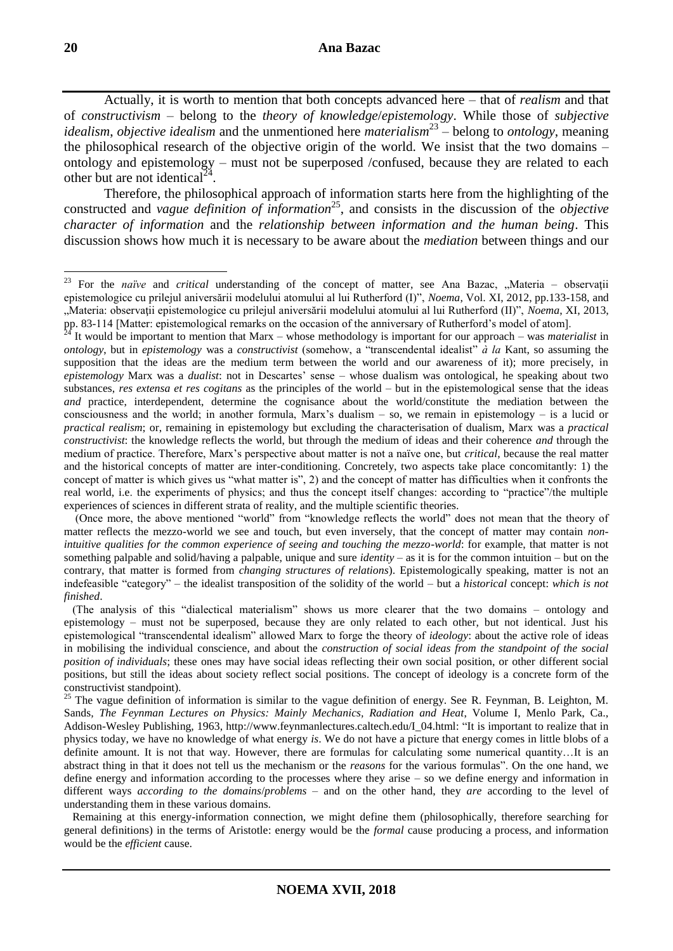Actually, it is worth to mention that both concepts advanced here – that of *realism* and that of *constructivism* – belong to the *theory of knowledge*/*epistemology*. While those of *subjective*  idealism, *objective idealism* and the unmentioned here *materialism*<sup>23</sup> – belong to *ontology*, meaning the philosophical research of the objective origin of the world. We insist that the two domains – ontology and epistemology – must not be superposed /confused, because they are related to each other but are not identical<sup> $24$ </sup>.

Therefore, the philosophical approach of information starts here from the highlighting of the constructed and *vague definition of information*<sup>25</sup>, and consists in the discussion of the *objective character of information* and the *relationship between information and the human being*. This discussion shows how much it is necessary to be aware about the *mediation* between things and our

 Remaining at this energy-information connection, we might define them (philosophically, therefore searching for general definitions) in the terms of Aristotle: energy would be the *formal* cause producing a process, and information would be the *efficient* cause.

<sup>&</sup>lt;sup>23</sup> For the *naïve* and *critical* understanding of the concept of matter, see Ana Bazac, "Materia – observații epistemologice cu prilejul aniversării modelului atomului al lui Rutherford (I)", *Noema*, Vol. XI, 2012, pp.133-158, and "Materia: observaţii epistemologice cu prilejul aniversării modelului atomului al lui Rutherford (II)", *Noema*, XI, 2013, pp. 83-114 [Matter: epistemological remarks on the occasion of the anniversary of Rutherford's model of atom].

<sup>24</sup> It would be important to mention that Marx – whose methodology is important for our approach – was *materialist* in *ontology*, but in *epistemology* was a *constructivist* (somehow, a "transcendental idealist" *à la* Kant, so assuming the supposition that the ideas are the medium term between the world and our awareness of it); more precisely, in *epistemology* Marx was a *dualist*: not in Descartes' sense – whose dualism was ontological, he speaking about two substances, *res extensa et res cogitans* as the principles of the world – but in the epistemological sense that the ideas *and* practice, interdependent, determine the cognisance about the world/constitute the mediation between the consciousness and the world; in another formula, Marx's dualism  $-$  so, we remain in epistemology  $-$  is a lucid or *practical realism*; or, remaining in epistemology but excluding the characterisation of dualism, Marx was a *practical constructivist*: the knowledge reflects the world, but through the medium of ideas and their coherence *and* through the medium of practice. Therefore, Marx's perspective about matter is not a naïve one, but *critical*, because the real matter and the historical concepts of matter are inter-conditioning. Concretely, two aspects take place concomitantly: 1) the concept of matter is which gives us "what matter is", 2) and the concept of matter has difficulties when it confronts the real world, i.e. the experiments of physics; and thus the concept itself changes: according to "practice"/the multiple experiences of sciences in different strata of reality, and the multiple scientific theories.

 <sup>(</sup>Once more, the above mentioned "world" from "knowledge reflects the world" does not mean that the theory of matter reflects the mezzo-world we see and touch, but even inversely, that the concept of matter may contain *nonintuitive qualities for the common experience of seeing and touching the mezzo-world*: for example, that matter is not something palpable and solid/having a palpable, unique and sure *identity* – as it is for the common intuition – but on the contrary, that matter is formed from *changing structures of relations*). Epistemologically speaking, matter is not an indefeasible "category" – the idealist transposition of the solidity of the world – but a *historical* concept: *which is not finished*.

 <sup>(</sup>The analysis of this "dialectical materialism" shows us more clearer that the two domains – ontology and epistemology – must not be superposed, because they are only related to each other, but not identical. Just his epistemological "transcendental idealism" allowed Marx to forge the theory of *ideology*: about the active role of ideas in mobilising the individual conscience, and about the *construction of social ideas from the standpoint of the social position of individuals*; these ones may have social ideas reflecting their own social position, or other different social positions, but still the ideas about society reflect social positions. The concept of ideology is a concrete form of the constructivist standpoint).

<sup>&</sup>lt;sup>25</sup> The vague definition of information is similar to the vague definition of energy. See R. Feynman, B. Leighton, M. Sands*, The Feynman Lectures on Physics: Mainly Mechanics, Radiation and Heat*, Volume I, Menlo Park, Ca., Addison-Wesley Publishing, 1963, http://www.feynmanlectures.caltech.edu/I\_04.html: "It is important to realize that in physics today, we have no knowledge of what energy *is*. We do not have a picture that energy comes in little blobs of a definite amount. It is not that way. However, there are formulas for calculating some numerical quantity…It is an abstract thing in that it does not tell us the mechanism or the *reasons* for the various formulas". On the one hand, we define energy and information according to the processes where they arise – so we define energy and information in different ways *according to the domains*/*problems* – and on the other hand, they *are* according to the level of understanding them in these various domains.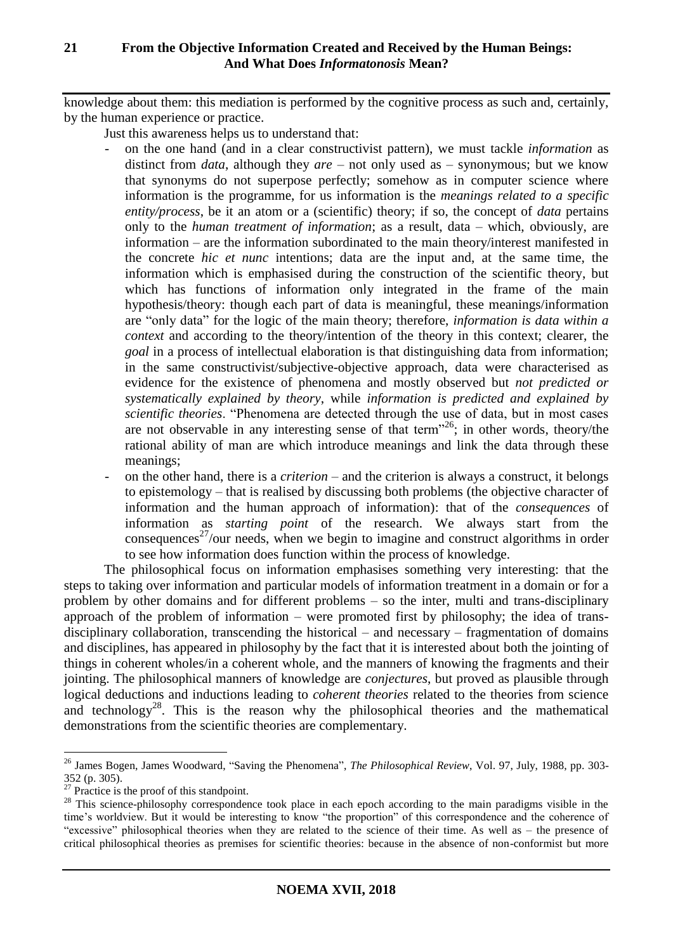knowledge about them: this mediation is performed by the cognitive process as such and, certainly, by the human experience or practice.

- Just this awareness helps us to understand that:
	- on the one hand (and in a clear constructivist pattern), we must tackle *information* as distinct from *data*, although they *are* – not only used as – synonymous; but we know that synonyms do not superpose perfectly; somehow as in computer science where information is the programme, for us information is the *meanings related to a specific entity/process*, be it an atom or a (scientific) theory; if so, the concept of *data* pertains only to the *human treatment of information*; as a result, data – which, obviously, are information – are the information subordinated to the main theory/interest manifested in the concrete *hic et nunc* intentions; data are the input and, at the same time, the information which is emphasised during the construction of the scientific theory, but which has functions of information only integrated in the frame of the main hypothesis/theory: though each part of data is meaningful, these meanings/information are "only data" for the logic of the main theory; therefore, *information is data within a context* and according to the theory/intention of the theory in this context; clearer, the *goal* in a process of intellectual elaboration is that distinguishing data from information; in the same constructivist/subjective-objective approach, data were characterised as evidence for the existence of phenomena and mostly observed but *not predicted or systematically explained by theory*, while *information is predicted and explained by scientific theories*. "Phenomena are detected through the use of data, but in most cases are not observable in any interesting sense of that term"<sup>26</sup>; in other words, theory/the rational ability of man are which introduce meanings and link the data through these meanings;
	- on the other hand, there is a *criterion*  and the criterion is always a construct, it belongs to epistemology – that is realised by discussing both problems (the objective character of information and the human approach of information): that of the *consequences* of information as *starting point* of the research. We always start from the consequences<sup>27</sup>/our needs, when we begin to imagine and construct algorithms in order to see how information does function within the process of knowledge.

The philosophical focus on information emphasises something very interesting: that the steps to taking over information and particular models of information treatment in a domain or for a problem by other domains and for different problems – so the inter, multi and trans-disciplinary approach of the problem of information – were promoted first by philosophy; the idea of transdisciplinary collaboration, transcending the historical – and necessary – fragmentation of domains and disciplines, has appeared in philosophy by the fact that it is interested about both the jointing of things in coherent wholes/in a coherent whole, and the manners of knowing the fragments and their jointing. The philosophical manners of knowledge are *conjectures*, but proved as plausible through logical deductions and inductions leading to *coherent theories* related to the theories from science and technology<sup>28</sup>. This is the reason why the philosophical theories and the mathematical demonstrations from the scientific theories are complementary.

<sup>26</sup> James Bogen, James Woodward, "Saving the Phenomena", *The Philosophical Review*, Vol. 97, July, 1988, pp. 303- 352 (p. 305).

 $27$  Practice is the proof of this standpoint.

<sup>&</sup>lt;sup>28</sup> This science-philosophy correspondence took place in each epoch according to the main paradigms visible in the time's worldview. But it would be interesting to know "the proportion" of this correspondence and the coherence of "excessive" philosophical theories when they are related to the science of their time. As well as – the presence of critical philosophical theories as premises for scientific theories: because in the absence of non-conformist but more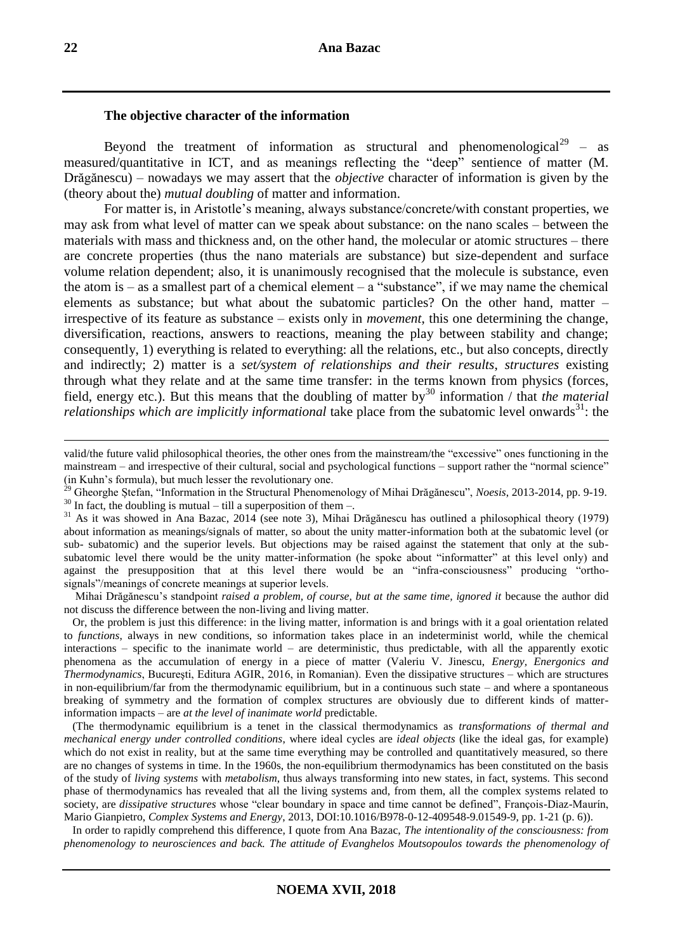#### **The objective character of the information**

Beyond the treatment of information as structural and phenomenological<sup>29</sup> – as measured/quantitative in ICT, and as meanings reflecting the "deep" sentience of matter (M. Drăgănescu) – nowadays we may assert that the *objective* character of information is given by the (theory about the) *mutual doubling* of matter and information.

For matter is, in Aristotle's meaning, always substance/concrete/with constant properties, we may ask from what level of matter can we speak about substance: on the nano scales – between the materials with mass and thickness and, on the other hand, the molecular or atomic structures – there are concrete properties (thus the nano materials are substance) but size-dependent and surface volume relation dependent; also, it is unanimously recognised that the molecule is substance, even the atom is – as a smallest part of a chemical element – a "substance", if we may name the chemical elements as substance; but what about the subatomic particles? On the other hand, matter – irrespective of its feature as substance – exists only in *movement*, this one determining the change, diversification, reactions, answers to reactions, meaning the play between stability and change; consequently, 1) everything is related to everything: all the relations, etc., but also concepts, directly and indirectly; 2) matter is a *set/system of relationships and their results*, *structures* existing through what they relate and at the same time transfer: in the terms known from physics (forces, field, energy etc.). But this means that the doubling of matter by<sup>30</sup> information / that *the material relationships which are implicitly informational* take place from the subatomic level onwards<sup>31</sup>: the

 Mihai Drăgănescu's standpoint *raised a problem, of course, but at the same time, ignored it* because the author did not discuss the difference between the non-living and living matter.

 Or, the problem is just this difference: in the living matter, information is and brings with it a goal orientation related to *functions*, always in new conditions, so information takes place in an indeterminist world, while the chemical interactions – specific to the inanimate world – are deterministic, thus predictable, with all the apparently exotic phenomena as the accumulation of energy in a piece of matter (Valeriu V. Jinescu, *Energy, Energonics and Thermodynamics*, Bucureşti, Editura AGIR, 2016, in Romanian). Even the dissipative structures – which are structures in non-equilibrium/far from the thermodynamic equilibrium, but in a continuous such state – and where a spontaneous breaking of symmetry and the formation of complex structures are obviously due to different kinds of matterinformation impacts – are *at the level of inanimate world* predictable.

 (The thermodynamic equilibrium is a tenet in the classical thermodynamics as *transformations of thermal and mechanical energy under controlled conditions*, where ideal cycles are *ideal objects* (like the ideal gas, for example) which do not exist in reality, but at the same time everything may be controlled and quantitatively measured, so there are no changes of systems in time. In the 1960s, the non-equilibrium thermodynamics has been constituted on the basis of the study of *living systems* with *metabolism*, thus always transforming into new states, in fact, systems. This second phase of thermodynamics has revealed that all the living systems and, from them, all the complex systems related to society, are *dissipative structures* whose "clear boundary in space and time cannot be defined", François-Diaz-Maurín, Mario Gianpietro, *Complex Systems and Energy*, 2013, DOI:10.1016/B978-0-12-409548-9.01549-9, pp. 1-21 (p. 6)).

 In order to rapidly comprehend this difference, I quote from Ana Bazac, *The intentionality of the consciousness: from phenomenology to neurosciences and back. The attitude of Evanghelos Moutsopoulos towards the phenomenology of* 

valid/the future valid philosophical theories, the other ones from the mainstream/the "excessive" ones functioning in the mainstream – and irrespective of their cultural, social and psychological functions – support rather the "normal science" (in Kuhn's formula), but much lesser the revolutionary one.

<sup>29</sup> Gheorghe Ștefan, "Information in the Structural Phenomenology of Mihai Drăgănescu", *Noesis*, 2013-2014, pp. 9-19.

 $30$  In fact, the doubling is mutual – till a superposition of them –.

<sup>&</sup>lt;sup>31</sup> As it was showed in Ana Bazac, 2014 (see note 3), Mihai Drăgănescu has outlined a philosophical theory (1979) about information as meanings/signals of matter, so about the unity matter-information both at the subatomic level (or sub- subatomic) and the superior levels. But objections may be raised against the statement that only at the subsubatomic level there would be the unity matter-information (he spoke about "informatter" at this level only) and against the presupposition that at this level there would be an "infra-consciousness" producing "orthosignals"/meanings of concrete meanings at superior levels.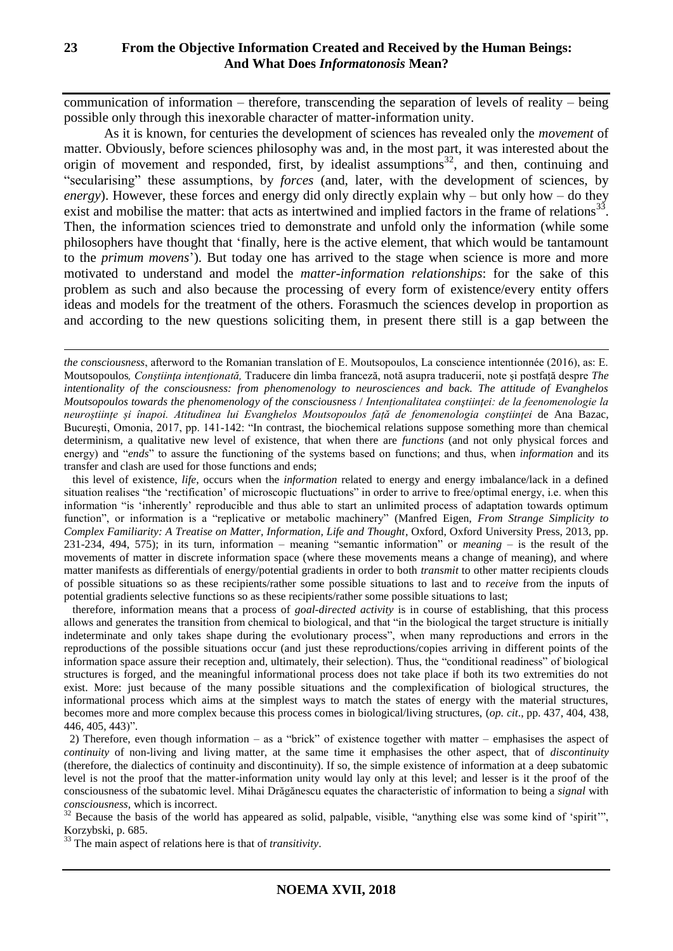communication of information – therefore, transcending the separation of levels of reality – being possible only through this inexorable character of matter-information unity.

As it is known, for centuries the development of sciences has revealed only the *movement* of matter. Obviously, before sciences philosophy was and, in the most part, it was interested about the origin of movement and responded, first, by idealist assumptions<sup>32</sup>, and then, continuing and "secularising" these assumptions, by *forces* (and, later, with the development of sciences, by *energy*). However, these forces and energy did only directly explain why – but only how – do they exist and mobilise the matter: that acts as intertwined and implied factors in the frame of relations<sup>33</sup>. Then, the information sciences tried to demonstrate and unfold only the information (while some philosophers have thought that 'finally, here is the active element, that which would be tantamount to the *primum movens*'). But today one has arrived to the stage when science is more and more motivated to understand and model the *matter-information relationships*: for the sake of this problem as such and also because the processing of every form of existence/every entity offers ideas and models for the treatment of the others. Forasmuch the sciences develop in proportion as and according to the new questions soliciting them, in present there still is a gap between the

 this level of existence, *life*, occurs when the *information* related to energy and energy imbalance/lack in a defined situation realises "the 'rectification' of microscopic fluctuations" in order to arrive to free/optimal energy, i.e. when this information "is 'inherently' reproducible and thus able to start an unlimited process of adaptation towards optimum function", or information is a "replicative or metabolic machinery" (Manfred Eigen, *From Strange Simplicity to Complex Familiarity: A Treatise on Matter, Information, Life and Thought*, Oxford, Oxford University Press, 2013, pp. 231-234, 494, 575); in its turn, information – meaning "semantic information" or *meaning* – is the result of the movements of matter in discrete information space (where these movements means a change of meaning), and where matter manifests as differentials of energy/potential gradients in order to both *transmit* to other matter recipients clouds of possible situations so as these recipients/rather some possible situations to last and to *receive* from the inputs of potential gradients selective functions so as these recipients/rather some possible situations to last;

 therefore, information means that a process of *goal-directed activity* is in course of establishing, that this process allows and generates the transition from chemical to biological, and that "in the biological the target structure is initially indeterminate and only takes shape during the evolutionary process", when many reproductions and errors in the reproductions of the possible situations occur (and just these reproductions/copies arriving in different points of the information space assure their reception and, ultimately, their selection). Thus, the "conditional readiness" of biological structures is forged, and the meaningful informational process does not take place if both its two extremities do not exist. More: just because of the many possible situations and the complexification of biological structures, the informational process which aims at the simplest ways to match the states of energy with the material structures, becomes more and more complex because this process comes in biological/living structures, (*op. cit*., pp. 437, 404, 438, 446, 405, 443)".

 2) Therefore, even though information – as a "brick" of existence together with matter – emphasises the aspect of *continuity* of non-living and living matter, at the same time it emphasises the other aspect, that of *discontinuity* (therefore, the dialectics of continuity and discontinuity). If so, the simple existence of information at a deep subatomic level is not the proof that the matter-information unity would lay only at this level; and lesser is it the proof of the consciousness of the subatomic level. Mihai Drăgănescu equates the characteristic of information to being a *signal* with *consciousness*, which is incorrect.

<sup>32</sup> Because the basis of the world has appeared as solid, palpable, visible, "anything else was some kind of 'spirit'", Korzybski, p. 685.

<sup>33</sup> The main aspect of relations here is that of *transitivity*.

*the consciousness*, afterword to the Romanian translation of E. Moutsopoulos, La conscience intentionnée (2016), as: E. Moutsopoulos*, Conştiinţa intenţionată,* Traducere din limba franceză, notă asupra traducerii, note şi postfață despre *The intentionality of the consciousness: from phenomenology to neurosciences and back. The attitude of Evanghelos Moutsopoulos towards the phenomenology of the consciousness* / *Intenționalitatea conştiinţei: de la feenomenologie la neuroștiințe și înapoi. Atitudinea lui Evanghelos Moutsopoulos față de fenomenologia conştiinţei* de Ana Bazac, Bucureşti, Omonia, 2017, pp. 141-142: "In contrast, the biochemical relations suppose something more than chemical determinism, a qualitative new level of existence, that when there are *functions* (and not only physical forces and energy) and "*ends*" to assure the functioning of the systems based on functions; and thus, when *information* and its transfer and clash are used for those functions and ends;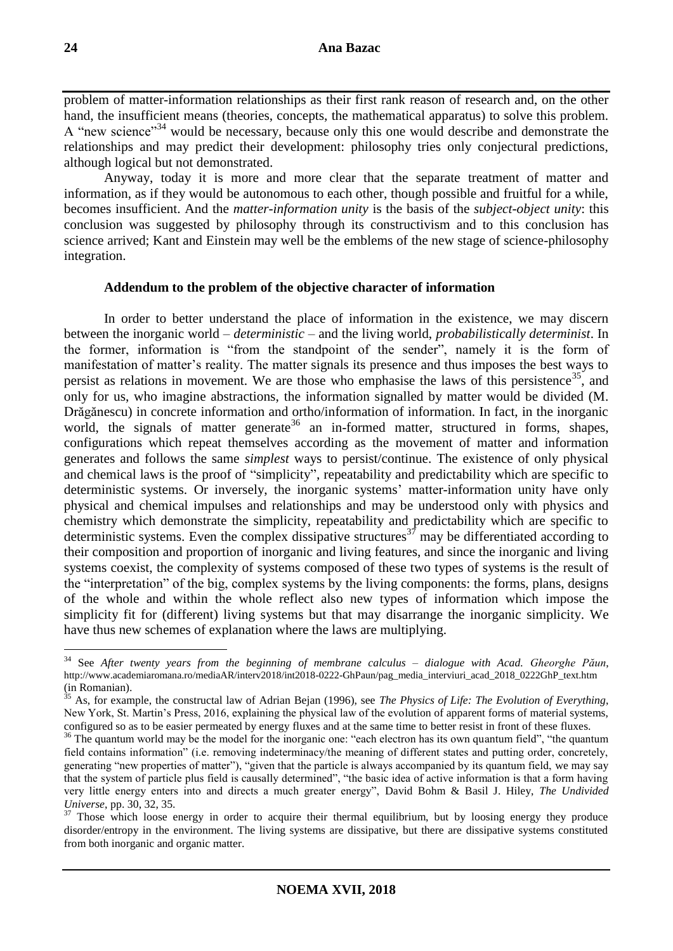problem of matter-information relationships as their first rank reason of research and, on the other hand, the insufficient means (theories, concepts, the mathematical apparatus) to solve this problem. A "new science"<sup>34</sup> would be necessary, because only this one would describe and demonstrate the relationships and may predict their development: philosophy tries only conjectural predictions, although logical but not demonstrated.

Anyway, today it is more and more clear that the separate treatment of matter and information, as if they would be autonomous to each other, though possible and fruitful for a while, becomes insufficient. And the *matter-information unity* is the basis of the *subject-object unity*: this conclusion was suggested by philosophy through its constructivism and to this conclusion has science arrived; Kant and Einstein may well be the emblems of the new stage of science-philosophy integration.

### **Addendum to the problem of the objective character of information**

In order to better understand the place of information in the existence, we may discern between the inorganic world – *deterministic* – and the living world, *probabilistically determinist*. In the former, information is "from the standpoint of the sender", namely it is the form of manifestation of matter's reality. The matter signals its presence and thus imposes the best ways to persist as relations in movement. We are those who emphasise the laws of this persistence<sup>35</sup>, and only for us, who imagine abstractions, the information signalled by matter would be divided (M. Drăgănescu) in concrete information and ortho/information of information. In fact, in the inorganic world, the signals of matter generate<sup>36</sup> an in-formed matter, structured in forms, shapes, configurations which repeat themselves according as the movement of matter and information generates and follows the same *simplest* ways to persist/continue. The existence of only physical and chemical laws is the proof of "simplicity", repeatability and predictability which are specific to deterministic systems. Or inversely, the inorganic systems' matter-information unity have only physical and chemical impulses and relationships and may be understood only with physics and chemistry which demonstrate the simplicity, repeatability and predictability which are specific to deterministic systems. Even the complex dissipative structures<sup>37</sup> may be differentiated according to their composition and proportion of inorganic and living features, and since the inorganic and living systems coexist, the complexity of systems composed of these two types of systems is the result of the "interpretation" of the big, complex systems by the living components: the forms, plans, designs of the whole and within the whole reflect also new types of information which impose the simplicity fit for (different) living systems but that may disarrange the inorganic simplicity. We have thus new schemes of explanation where the laws are multiplying.

<sup>34</sup> See *After twenty years from the beginning of membrane calculus – dialogue with Acad. Gheorghe Păun*, http://www.academiaromana.ro/mediaAR/interv2018/int2018-0222-GhPaun/pag\_media\_interviuri\_acad\_2018\_0222GhP\_text.htm (in Romanian).

<sup>35</sup> As, for example, the constructal law of Adrian Bejan (1996), see *The Physics of Life: The Evolution of Everything*, New York, St. Martin's Press, 2016, explaining the physical law of the evolution of apparent forms of material systems, configured so as to be easier permeated by energy fluxes and at the same time to better resist in front of these fluxes.

<sup>&</sup>lt;sup>36</sup> The quantum world may be the model for the inorganic one: "each electron has its own quantum field", "the quantum field contains information" (i.e. removing indeterminacy/the meaning of different states and putting order, concretely, generating "new properties of matter"), "given that the particle is always accompanied by its quantum field, we may say that the system of particle plus field is causally determined", "the basic idea of active information is that a form having very little energy enters into and directs a much greater energy", David Bohm & Basil J. Hiley, *The Undivided Universe*, pp. 30, 32, 35.

<sup>&</sup>lt;sup>37</sup> Those which loose energy in order to acquire their thermal equilibrium, but by loosing energy they produce disorder/entropy in the environment. The living systems are dissipative, but there are dissipative systems constituted from both inorganic and organic matter.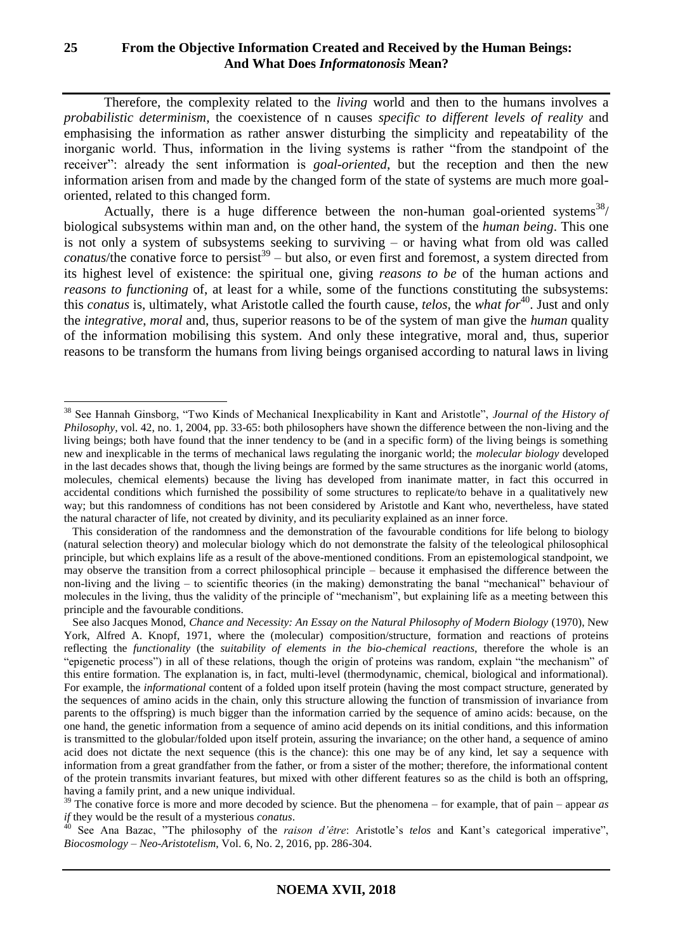# **25 From the Objective Information Created and Received by the Human Beings: And What Does** *Informatonosis* **Mean?**

Therefore, the complexity related to the *living* world and then to the humans involves a *probabilistic determinism*, the coexistence of n causes *specific to different levels of reality* and emphasising the information as rather answer disturbing the simplicity and repeatability of the inorganic world. Thus, information in the living systems is rather "from the standpoint of the receiver": already the sent information is *goal-oriented*, but the reception and then the new information arisen from and made by the changed form of the state of systems are much more goaloriented, related to this changed form.

Actually, there is a huge difference between the non-human goal-oriented systems $38/$ biological subsystems within man and, on the other hand, the system of the *human being*. This one is not only a system of subsystems seeking to surviving – or having what from old was called *conatus*/the conative force to persist<sup>39</sup> – but also, or even first and foremost, a system directed from its highest level of existence: the spiritual one, giving *reasons to be* of the human actions and *reasons to functioning* of, at least for a while, some of the functions constituting the subsystems: this *conatus* is, ultimately, what Aristotle called the fourth cause, *telos*, the *what for*<sup>40</sup>. Just and only the *integrative*, *moral* and, thus, superior reasons to be of the system of man give the *human* quality of the information mobilising this system. And only these integrative, moral and, thus, superior reasons to be transform the humans from living beings organised according to natural laws in living

<sup>38</sup> See Hannah Ginsborg, "Two Kinds of Mechanical Inexplicability in Kant and Aristotle", *Journal of the History of Philosophy*, vol. 42, no. 1, 2004, pp. 33-65: both philosophers have shown the difference between the non-living and the living beings; both have found that the inner tendency to be (and in a specific form) of the living beings is something new and inexplicable in the terms of mechanical laws regulating the inorganic world; the *molecular biology* developed in the last decades shows that, though the living beings are formed by the same structures as the inorganic world (atoms, molecules, chemical elements) because the living has developed from inanimate matter, in fact this occurred in accidental conditions which furnished the possibility of some structures to replicate/to behave in a qualitatively new way; but this randomness of conditions has not been considered by Aristotle and Kant who, nevertheless, have stated the natural character of life, not created by divinity, and its peculiarity explained as an inner force.

This consideration of the randomness and the demonstration of the favourable conditions for life belong to biology (natural selection theory) and molecular biology which do not demonstrate the falsity of the teleological philosophical principle, but which explains life as a result of the above-mentioned conditions. From an epistemological standpoint, we may observe the transition from a correct philosophical principle – because it emphasised the difference between the non-living and the living – to scientific theories (in the making) demonstrating the banal "mechanical" behaviour of molecules in the living, thus the validity of the principle of "mechanism", but explaining life as a meeting between this principle and the favourable conditions.

See also Jacques Monod, *Chance and Necessity: An Essay on the Natural Philosophy of Modern Biology* (1970), New York, Alfred A. Knopf, 1971, where the (molecular) composition/structure, formation and reactions of proteins reflecting the *functionality* (the *suitability of elements in the bio-chemical reactions*, therefore the whole is an "epigenetic process") in all of these relations, though the origin of proteins was random, explain "the mechanism" of this entire formation. The explanation is, in fact, multi-level (thermodynamic, chemical, biological and informational). For example, the *informational* content of a folded upon itself protein (having the most compact structure, generated by the sequences of amino acids in the chain, only this structure allowing the function of transmission of invariance from parents to the offspring) is much bigger than the information carried by the sequence of amino acids: because, on the one hand, the genetic information from a sequence of amino acid depends on its initial conditions, and this information is transmitted to the globular/folded upon itself protein, assuring the invariance; on the other hand, a sequence of amino acid does not dictate the next sequence (this is the chance): this one may be of any kind, let say a sequence with information from a great grandfather from the father, or from a sister of the mother; therefore, the informational content of the protein transmits invariant features, but mixed with other different features so as the child is both an offspring, having a family print, and a new unique individual.

<sup>&</sup>lt;sup>39</sup> The conative force is more and more decoded by science. But the phenomena – for example, that of pain – appear *as if* they would be the result of a mysterious *conatus*.

<sup>40</sup> See Ana Bazac, "The philosophy of the *raison d'être*: Aristotle's *telos* and Kant's categorical imperative", *Biocosmology – Neo-Aristotelism*, Vol. 6, No. 2, 2016, pp. 286-304.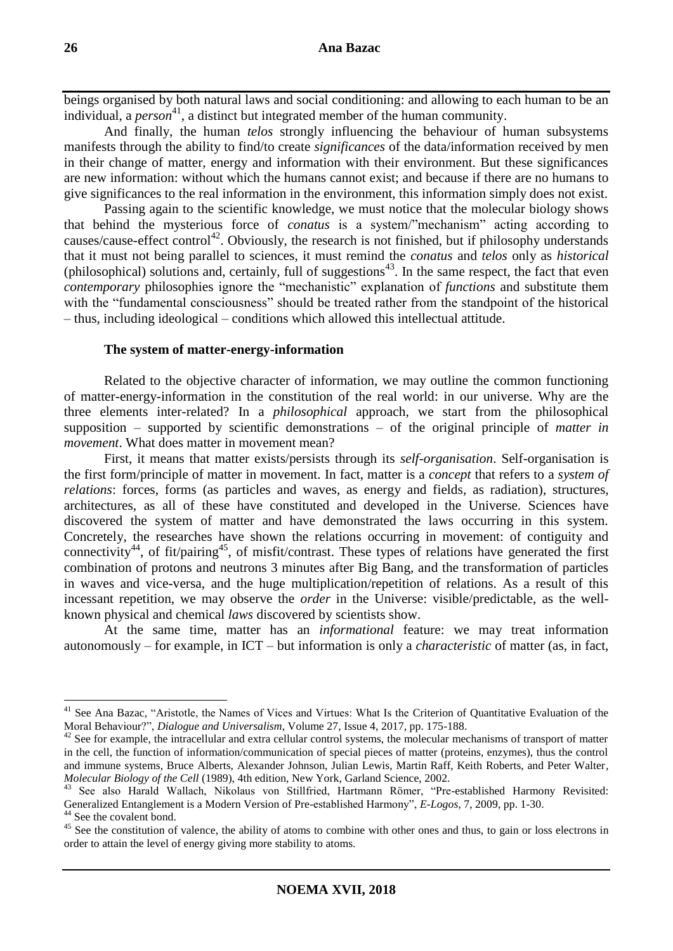beings organised by both natural laws and social conditioning: and allowing to each human to be an individual, a *person* <sup>41</sup>, a distinct but integrated member of the human community.

And finally, the human *telos* strongly influencing the behaviour of human subsystems manifests through the ability to find/to create *significances* of the data/information received by men in their change of matter, energy and information with their environment. But these significances are new information: without which the humans cannot exist; and because if there are no humans to give significances to the real information in the environment, this information simply does not exist.

Passing again to the scientific knowledge, we must notice that the molecular biology shows that behind the mysterious force of *conatus* is a system/"mechanism" acting according to causes/cause-effect control<sup>42</sup>. Obviously, the research is not finished, but if philosophy understands that it must not being parallel to sciences, it must remind the *conatus* and *telos* only as *historical* (philosophical) solutions and, certainly, full of suggestions $43$ . In the same respect, the fact that even *contemporary* philosophies ignore the "mechanistic" explanation of *functions* and substitute them with the "fundamental consciousness" should be treated rather from the standpoint of the historical – thus, including ideological – conditions which allowed this intellectual attitude.

### **The system of matter-energy-information**

Related to the objective character of information, we may outline the common functioning of matter-energy-information in the constitution of the real world: in our universe. Why are the three elements inter-related? In a *philosophical* approach, we start from the philosophical supposition – supported by scientific demonstrations – of the original principle of *matter in movement*. What does matter in movement mean?

First, it means that matter exists/persists through its *self-organisation*. Self-organisation is the first form/principle of matter in movement. In fact, matter is a *concept* that refers to a *system of relations*: forces, forms (as particles and waves, as energy and fields, as radiation), structures, architectures, as all of these have constituted and developed in the Universe. Sciences have discovered the system of matter and have demonstrated the laws occurring in this system. Concretely, the researches have shown the relations occurring in movement: of contiguity and connectivity<sup>44</sup>, of fit/pairing<sup>45</sup>, of misfit/contrast. These types of relations have generated the first combination of protons and neutrons 3 minutes after Big Bang, and the transformation of particles in waves and vice-versa, and the huge multiplication/repetition of relations. As a result of this incessant repetition, we may observe the *order* in the Universe: visible/predictable, as the wellknown physical and chemical *laws* discovered by scientists show.

At the same time, matter has an *informational* feature: we may treat information autonomously – for example, in ICT – but information is only a *characteristic* of matter (as, in fact,

<sup>&</sup>lt;sup>41</sup> See Ana Bazac, "Aristotle, the Names of Vices and Virtues: What Is the Criterion of Quantitative Evaluation of the Moral Behaviour?", *Dialogue and Universalism*, Volume 27, Issue 4, 2017, pp. 175-188.

<sup>&</sup>lt;sup>42</sup> See for example, the intracellular and extra cellular control systems, the molecular mechanisms of transport of matter in the cell, the function of information/communication of special pieces of matter (proteins, enzymes), thus the control and immune systems, Bruce Alberts, Alexander Johnson, Julian Lewis, Martin Raff, Keith Roberts, and Peter Walter*, Molecular Biology of the Cell* (1989), 4th edition, New York, Garland Science, 2002.

<sup>&</sup>lt;sup>43</sup> See also Harald Wallach, Nikolaus von Stillfried, Hartmann Römer, "Pre-established Harmony Revisited: Generalized Entanglement is a Modern Version of Pre-established Harmony", *E-Logos*, 7, 2009, pp. 1-30.

<sup>&</sup>lt;sup>44</sup> See the covalent bond.

<sup>&</sup>lt;sup>45</sup> See the constitution of valence, the ability of atoms to combine with other ones and thus, to gain or loss electrons in order to attain the level of energy giving more stability to atoms.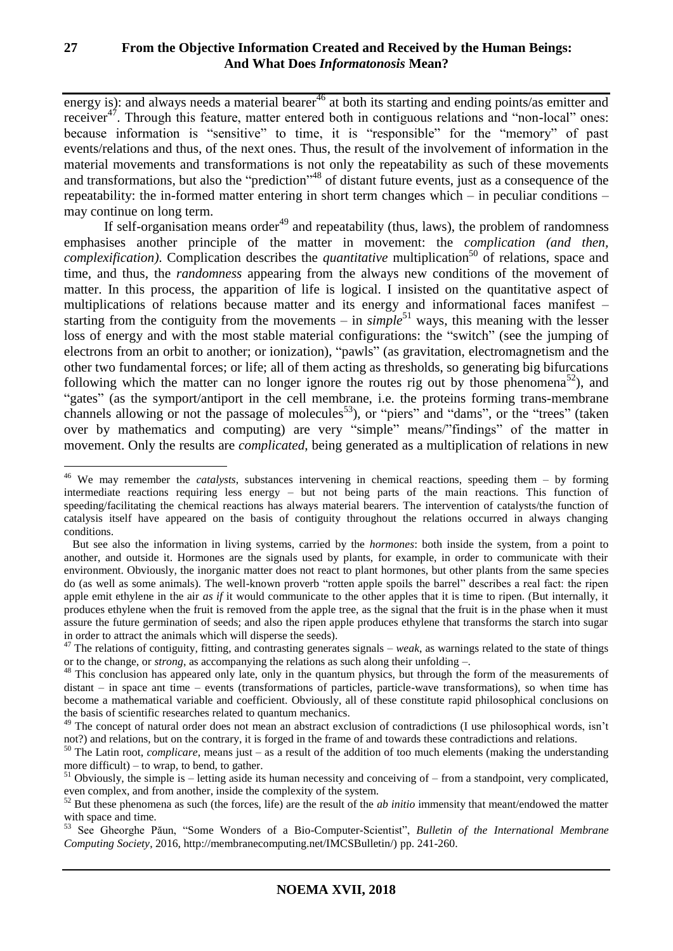energy is): and always needs a material bearer<sup>46</sup> at both its starting and ending points/as emitter and receiver<sup>47</sup>. Through this feature, matter entered both in contiguous relations and "non-local" ones: because information is "sensitive" to time, it is "responsible" for the "memory" of past events/relations and thus, of the next ones. Thus, the result of the involvement of information in the material movements and transformations is not only the repeatability as such of these movements and transformations, but also the "prediction"<sup>48</sup> of distant future events, just as a consequence of the repeatability: the in-formed matter entering in short term changes which – in peculiar conditions – may continue on long term.

If self-organisation means order<sup>49</sup> and repeatability (thus, laws), the problem of randomness emphasises another principle of the matter in movement: the *complication (and then, complexification*). Complication describes the *quantitative* multiplication<sup>50</sup> of relations, space and time, and thus, the *randomness* appearing from the always new conditions of the movement of matter. In this process, the apparition of life is logical. I insisted on the quantitative aspect of multiplications of relations because matter and its energy and informational faces manifest – starting from the contiguity from the movements – in  $\sinh l e^{51}$  ways, this meaning with the lesser loss of energy and with the most stable material configurations: the "switch" (see the jumping of electrons from an orbit to another; or ionization), "pawls" (as gravitation, electromagnetism and the other two fundamental forces; or life; all of them acting as thresholds, so generating big bifurcations following which the matter can no longer ignore the routes rig out by those phenomena<sup>52</sup>), and "gates" (as the symport/antiport in the cell membrane, i.e. the proteins forming trans-membrane channels allowing or not the passage of molecules<sup>53</sup>), or "piers" and "dams", or the "trees" (taken over by mathematics and computing) are very "simple" means/"findings" of the matter in movement. Only the results are *complicated*, being generated as a multiplication of relations in new

<sup>46</sup> We may remember the *catalysts*, substances intervening in chemical reactions, speeding them – by forming intermediate reactions requiring less energy – but not being parts of the main reactions. This function of speeding/facilitating the chemical reactions has always material bearers. The intervention of catalysts/the function of catalysis itself have appeared on the basis of contiguity throughout the relations occurred in always changing conditions.

But see also the information in living systems, carried by the *hormones*: both inside the system, from a point to another, and outside it. Hormones are the signals used by plants, for example, in order to communicate with their environment. Obviously, the inorganic matter does not react to plant hormones, but other plants from the same species do (as well as some animals). The well-known proverb "rotten apple spoils the barrel" describes a real fact: the ripen apple emit ethylene in the air *as if* it would communicate to the other apples that it is time to ripen. (But internally, it produces ethylene when the fruit is removed from the apple tree, as the signal that the fruit is in the phase when it must assure the future germination of seeds; and also the ripen apple produces ethylene that transforms the starch into sugar in order to attract the animals which will disperse the seeds).

<sup>&</sup>lt;sup>47</sup> The relations of contiguity, fitting, and contrasting generates signals – *weak*, as warnings related to the state of things or to the change, or *strong*, as accompanying the relations as such along their unfolding –.

<sup>&</sup>lt;sup>48</sup> This conclusion has appeared only late, only in the quantum physics, but through the form of the measurements of distant – in space ant time – events (transformations of particles, particle-wave transformations), so when time has become a mathematical variable and coefficient. Obviously, all of these constitute rapid philosophical conclusions on the basis of scientific researches related to quantum mechanics.

 $^{49}$  The concept of natural order does not mean an abstract exclusion of contradictions (I use philosophical words, isn't not?) and relations, but on the contrary, it is forged in the frame of and towards these contradictions and relations.

<sup>50</sup> The Latin root, *complicare*, means just – as a result of the addition of too much elements (making the understanding more difficult) – to wrap, to bend, to gather.

 $51$  Obviously, the simple is – letting aside its human necessity and conceiving of – from a standpoint, very complicated, even complex, and from another, inside the complexity of the system.

 $52$  But these phenomena as such (the forces, life) are the result of the *ab initio* immensity that meant/endowed the matter with space and time.

<sup>53</sup> See Gheorghe Păun, "Some Wonders of a Bio-Computer-Scientist", *Bulletin of the International Membrane Computing Society*, 2016, http://membranecomputing.net/IMCSBulletin/) pp. 241-260.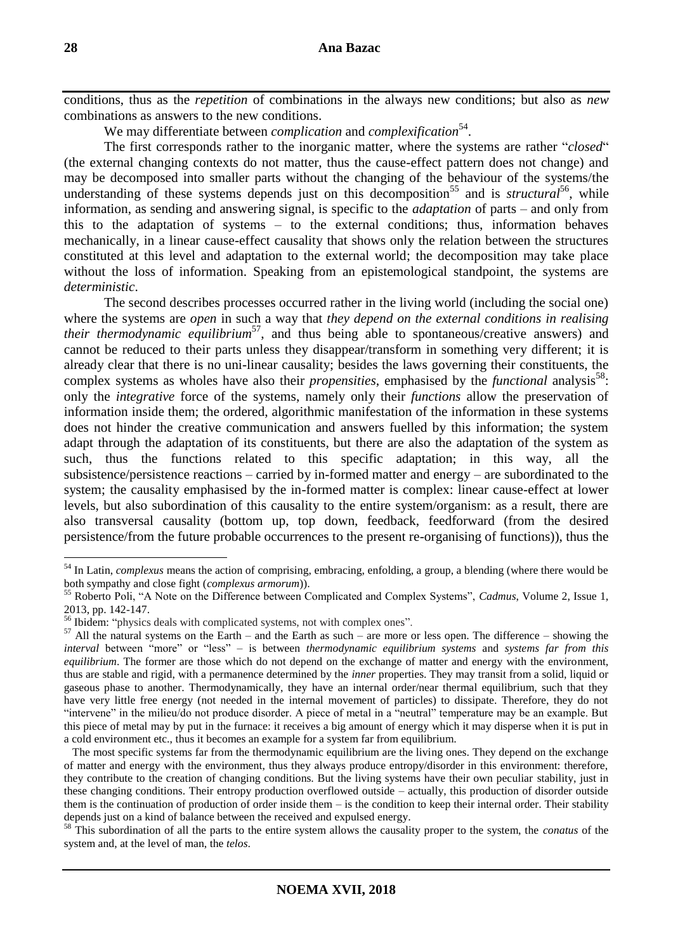conditions, thus as the *repetition* of combinations in the always new conditions; but also as *new*  combinations as answers to the new conditions.

We may differentiate between *complication* and *complexification*<sup>54</sup>.

The first corresponds rather to the inorganic matter, where the systems are rather "*closed*" (the external changing contexts do not matter, thus the cause-effect pattern does not change) and may be decomposed into smaller parts without the changing of the behaviour of the systems/the understanding of these systems depends just on this decomposition<sup>55</sup> and is *structural*<sup>56</sup>, while information, as sending and answering signal, is specific to the *adaptation* of parts – and only from this to the adaptation of systems – to the external conditions; thus, information behaves mechanically, in a linear cause-effect causality that shows only the relation between the structures constituted at this level and adaptation to the external world; the decomposition may take place without the loss of information. Speaking from an epistemological standpoint, the systems are *deterministic*.

The second describes processes occurred rather in the living world (including the social one) where the systems are *open* in such a way that *they depend on the external conditions in realising*  their thermodynamic equilibrium<sup>57</sup>, and thus being able to spontaneous/creative answers) and cannot be reduced to their parts unless they disappear/transform in something very different; it is already clear that there is no uni-linear causality; besides the laws governing their constituents, the complex systems as wholes have also their *propensities*, emphasised by the *functional* analysis<sup>58</sup>: only the *integrative* force of the systems, namely only their *functions* allow the preservation of information inside them; the ordered, algorithmic manifestation of the information in these systems does not hinder the creative communication and answers fuelled by this information; the system adapt through the adaptation of its constituents, but there are also the adaptation of the system as such, thus the functions related to this specific adaptation; in this way, all the subsistence/persistence reactions – carried by in-formed matter and energy – are subordinated to the system; the causality emphasised by the in-formed matter is complex: linear cause-effect at lower levels, but also subordination of this causality to the entire system/organism: as a result, there are also transversal causality (bottom up, top down, feedback, feedforward (from the desired persistence/from the future probable occurrences to the present re-organising of functions)), thus the

<sup>54</sup> In Latin, *complexus* means the action of comprising, embracing, enfolding, a group, a blending (where there would be both sympathy and close fight (*complexus armorum*)).

<sup>55</sup> Roberto Poli, "A Note on the Difference between Complicated and Complex Systems", *Cadmus*, Volume 2, Issue 1, 2013, pp. 142-147.

<sup>56</sup> Ibidem: "physics deals with complicated systems, not with complex ones".

 $57$  All the natural systems on the Earth – and the Earth as such – are more or less open. The difference – showing the *interval* between "more" or "less" – is between *thermodynamic equilibrium systems* and *systems far from this equilibrium*. The former are those which do not depend on the exchange of matter and energy with the environment, thus are stable and rigid, with a permanence determined by the *inner* properties. They may transit from a solid, liquid or gaseous phase to another. Thermodynamically, they have an internal order/near thermal equilibrium, such that they have very little free energy (not needed in the internal movement of particles) to dissipate. Therefore, they do not "intervene" in the milieu/do not produce disorder. A piece of metal in a "neutral" temperature may be an example. But this piece of metal may by put in the furnace: it receives a big amount of energy which it may disperse when it is put in a cold environment etc., thus it becomes an example for a system far from equilibrium.

The most specific systems far from the thermodynamic equilibrium are the living ones. They depend on the exchange of matter and energy with the environment, thus they always produce entropy/disorder in this environment: therefore, they contribute to the creation of changing conditions. But the living systems have their own peculiar stability, just in these changing conditions. Their entropy production overflowed outside – actually, this production of disorder outside them is the continuation of production of order inside them – is the condition to keep their internal order. Their stability depends just on a kind of balance between the received and expulsed energy.

<sup>58</sup> This subordination of all the parts to the entire system allows the causality proper to the system, the *conatus* of the system and, at the level of man, the *telos*.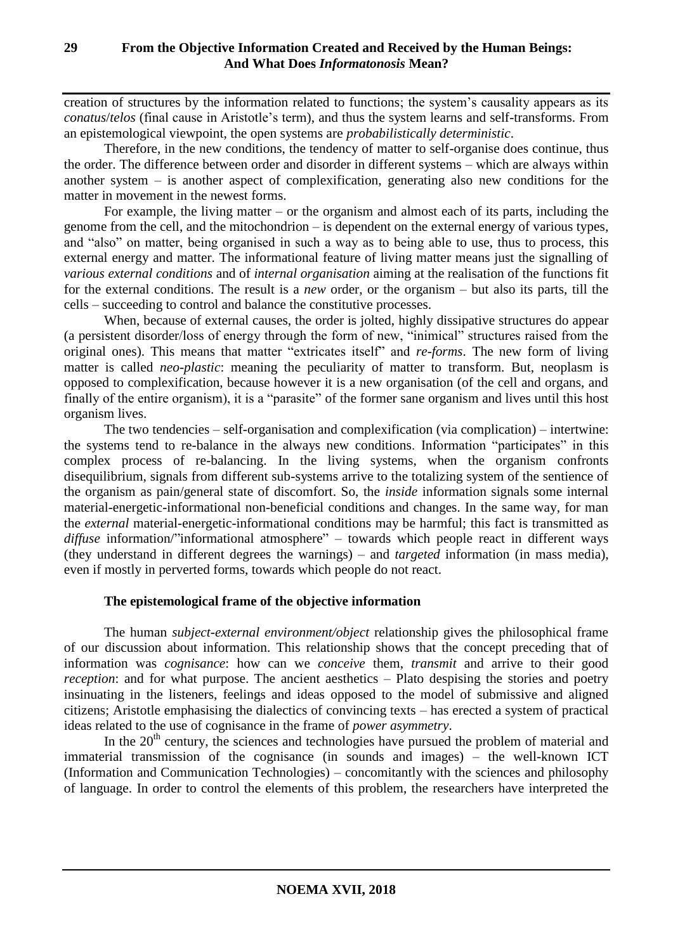creation of structures by the information related to functions; the system's causality appears as its *conatus*/*telos* (final cause in Aristotle's term), and thus the system learns and self-transforms. From an epistemological viewpoint, the open systems are *probabilistically deterministic*.

Therefore, in the new conditions, the tendency of matter to self-organise does continue, thus the order. The difference between order and disorder in different systems – which are always within another system – is another aspect of complexification, generating also new conditions for the matter in movement in the newest forms.

For example, the living matter – or the organism and almost each of its parts, including the genome from the cell, and the mitochondrion – is dependent on the external energy of various types, and "also" on matter, being organised in such a way as to being able to use, thus to process, this external energy and matter. The informational feature of living matter means just the signalling of *various external conditions* and of *internal organisation* aiming at the realisation of the functions fit for the external conditions. The result is a *new* order, or the organism – but also its parts, till the cells – succeeding to control and balance the constitutive processes.

When, because of external causes, the order is jolted, highly dissipative structures do appear (a persistent disorder/loss of energy through the form of new, "inimical" structures raised from the original ones). This means that matter "extricates itself" and *re-forms*. The new form of living matter is called *neo-plastic*: meaning the peculiarity of matter to transform. But, neoplasm is opposed to complexification, because however it is a new organisation (of the cell and organs, and finally of the entire organism), it is a "parasite" of the former sane organism and lives until this host organism lives.

The two tendencies – self-organisation and complexification (via complication) – intertwine: the systems tend to re-balance in the always new conditions. Information "participates" in this complex process of re-balancing. In the living systems, when the organism confronts disequilibrium, signals from different sub-systems arrive to the totalizing system of the sentience of the organism as pain/general state of discomfort. So, the *inside* information signals some internal material-energetic-informational non-beneficial conditions and changes. In the same way, for man the *external* material-energetic-informational conditions may be harmful; this fact is transmitted as diffuse information/"informational atmosphere" – towards which people react in different ways (they understand in different degrees the warnings) – and *targeted* information (in mass media), even if mostly in perverted forms, towards which people do not react.

### **The epistemological frame of the objective information**

The human *subject-external environment/object* relationship gives the philosophical frame of our discussion about information. This relationship shows that the concept preceding that of information was *cognisance*: how can we *conceive* them, *transmit* and arrive to their good *reception*: and for what purpose. The ancient aesthetics – Plato despising the stories and poetry insinuating in the listeners, feelings and ideas opposed to the model of submissive and aligned citizens; Aristotle emphasising the dialectics of convincing texts – has erected a system of practical ideas related to the use of cognisance in the frame of *power asymmetry*.

In the  $20<sup>th</sup>$  century, the sciences and technologies have pursued the problem of material and immaterial transmission of the cognisance (in sounds and images) – the well-known ICT (Information and Communication Technologies) – concomitantly with the sciences and philosophy of language. In order to control the elements of this problem, the researchers have interpreted the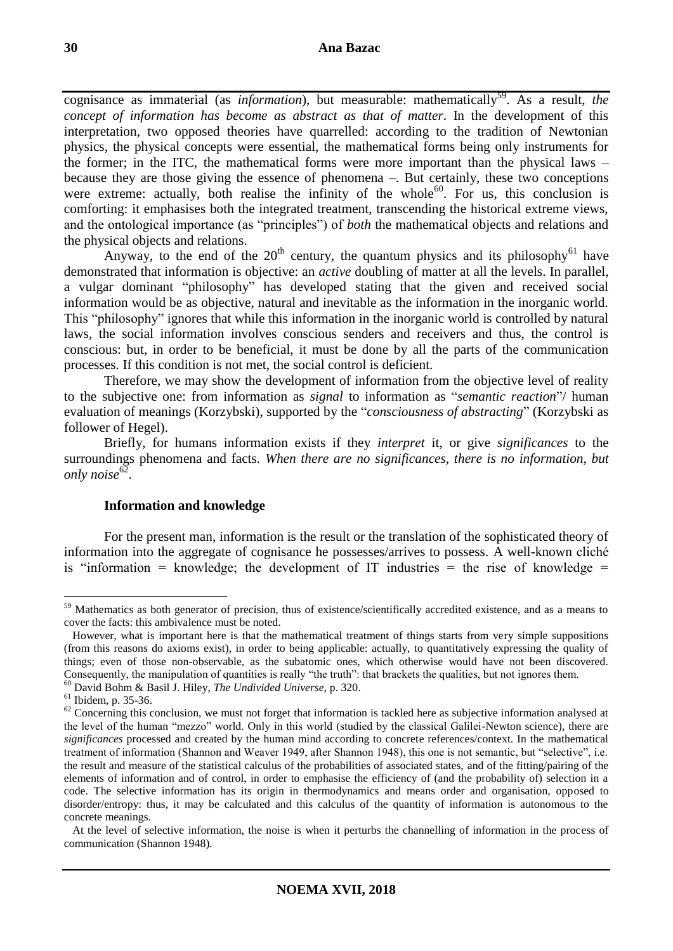### **30 Ana Bazac**

cognisance as immaterial (as *information*), but measurable: mathematically<sup>59</sup>. As a result, *the concept of information has become as abstract as that of matter*. In the development of this interpretation, two opposed theories have quarrelled: according to the tradition of Newtonian physics, the physical concepts were essential, the mathematical forms being only instruments for the former; in the ITC, the mathematical forms were more important than the physical laws – because they are those giving the essence of phenomena –. But certainly, these two conceptions were extreme: actually, both realise the infinity of the whole<sup>60</sup>. For us, this conclusion is comforting: it emphasises both the integrated treatment, transcending the historical extreme views, and the ontological importance (as "principles") of *both* the mathematical objects and relations and the physical objects and relations.

Anyway, to the end of the  $20<sup>th</sup>$  century, the quantum physics and its philosophy<sup>61</sup> have demonstrated that information is objective: an *active* doubling of matter at all the levels. In parallel, a vulgar dominant "philosophy" has developed stating that the given and received social information would be as objective, natural and inevitable as the information in the inorganic world. This "philosophy" ignores that while this information in the inorganic world is controlled by natural laws, the social information involves conscious senders and receivers and thus, the control is conscious: but, in order to be beneficial, it must be done by all the parts of the communication processes. If this condition is not met, the social control is deficient.

Therefore, we may show the development of information from the objective level of reality to the subjective one: from information as *signal* to information as "*semantic reaction*"/ human evaluation of meanings (Korzybski), supported by the "*consciousness of abstracting*" (Korzybski as follower of Hegel).

Briefly, for humans information exists if they *interpret* it, or give *significances* to the surroundings phenomena and facts. *When there are no significances, there is no information, but only noise*<sup>62</sup> .

### **Information and knowledge**

For the present man, information is the result or the translation of the sophisticated theory of information into the aggregate of cognisance he possesses/arrives to possess. A well-known cliché is "information = knowledge; the development of IT industries = the rise of knowledge =

<sup>&</sup>lt;sup>59</sup> Mathematics as both generator of precision, thus of existence/scientifically accredited existence, and as a means to cover the facts: this ambivalence must be noted.

However, what is important here is that the mathematical treatment of things starts from very simple suppositions (from this reasons do axioms exist), in order to being applicable: actually, to quantitatively expressing the quality of things; even of those non-observable, as the subatomic ones, which otherwise would have not been discovered. Consequently, the manipulation of quantities is really "the truth": that brackets the qualities, but not ignores them.

<sup>60</sup> David Bohm & Basil J. Hiley, *The Undivided Universe*, p. 320.

<sup>61</sup> Ibidem, p. 35-36.

 $62$  Concerning this conclusion, we must not forget that information is tackled here as subjective information analysed at the level of the human "mezzo" world. Only in this world (studied by the classical Galilei-Newton science), there are *significances* processed and created by the human mind according to concrete references/context. In the mathematical treatment of information (Shannon and Weaver 1949, after Shannon 1948), this one is not semantic, but "selective", i.e. the result and measure of the statistical calculus of the probabilities of associated states, and of the fitting/pairing of the elements of information and of control, in order to emphasise the efficiency of (and the probability of) selection in a code. The selective information has its origin in thermodynamics and means order and organisation, opposed to disorder/entropy: thus, it may be calculated and this calculus of the quantity of information is autonomous to the concrete meanings.

At the level of selective information, the noise is when it perturbs the channelling of information in the process of communication (Shannon 1948).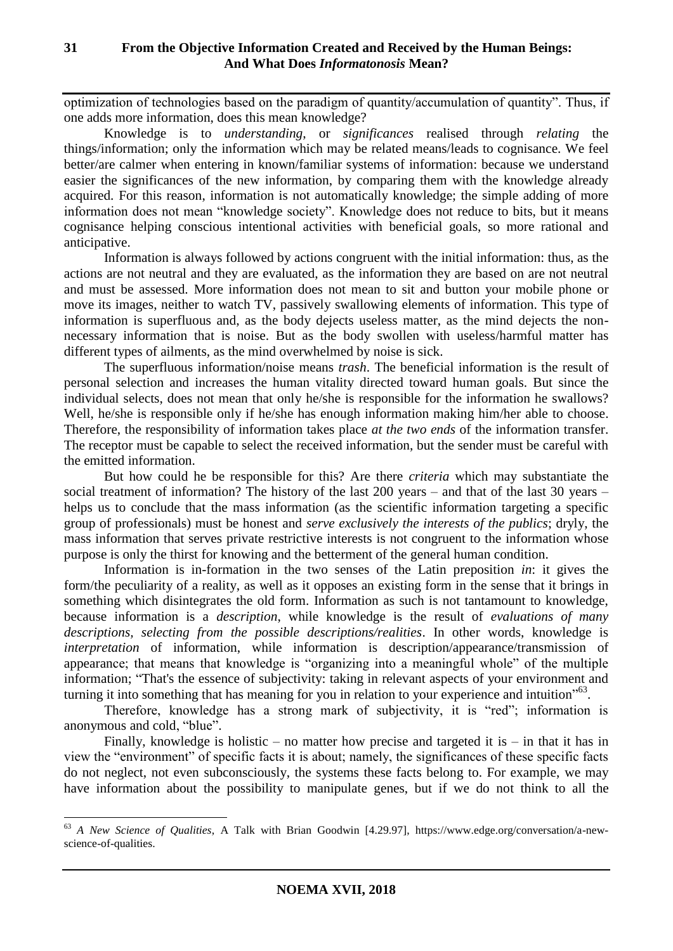optimization of technologies based on the paradigm of quantity/accumulation of quantity". Thus, if one adds more information, does this mean knowledge?

Knowledge is to *understanding*, or *significances* realised through *relating* the things/information; only the information which may be related means/leads to cognisance. We feel better/are calmer when entering in known/familiar systems of information: because we understand easier the significances of the new information, by comparing them with the knowledge already acquired. For this reason, information is not automatically knowledge; the simple adding of more information does not mean "knowledge society". Knowledge does not reduce to bits, but it means cognisance helping conscious intentional activities with beneficial goals, so more rational and anticipative.

Information is always followed by actions congruent with the initial information: thus, as the actions are not neutral and they are evaluated, as the information they are based on are not neutral and must be assessed. More information does not mean to sit and button your mobile phone or move its images, neither to watch TV, passively swallowing elements of information. This type of information is superfluous and, as the body dejects useless matter, as the mind dejects the nonnecessary information that is noise. But as the body swollen with useless/harmful matter has different types of ailments, as the mind overwhelmed by noise is sick.

The superfluous information/noise means *trash*. The beneficial information is the result of personal selection and increases the human vitality directed toward human goals. But since the individual selects, does not mean that only he/she is responsible for the information he swallows? Well, he/she is responsible only if he/she has enough information making him/her able to choose. Therefore, the responsibility of information takes place *at the two ends* of the information transfer. The receptor must be capable to select the received information, but the sender must be careful with the emitted information.

But how could he be responsible for this? Are there *criteria* which may substantiate the social treatment of information? The history of the last 200 years – and that of the last 30 years – helps us to conclude that the mass information (as the scientific information targeting a specific group of professionals) must be honest and *serve exclusively the interests of the publics*; dryly, the mass information that serves private restrictive interests is not congruent to the information whose purpose is only the thirst for knowing and the betterment of the general human condition.

Information is in-formation in the two senses of the Latin preposition *in*: it gives the form/the peculiarity of a reality, as well as it opposes an existing form in the sense that it brings in something which disintegrates the old form. Information as such is not tantamount to knowledge, because information is a *description*, while knowledge is the result of *evaluations of many descriptions, selecting from the possible descriptions/realities*. In other words, knowledge is *interpretation* of information, while information is description/appearance/transmission of appearance; that means that knowledge is "organizing into a meaningful whole" of the multiple information; "That's the essence of subjectivity: taking in relevant aspects of your environment and turning it into something that has meaning for you in relation to your experience and intuition"<sup>63</sup>.

Therefore, knowledge has a strong mark of subjectivity, it is "red"; information is anonymous and cold, "blue".

Finally, knowledge is holistic – no matter how precise and targeted it is – in that it has in view the "environment" of specific facts it is about; namely, the significances of these specific facts do not neglect, not even subconsciously, the systems these facts belong to. For example, we may have information about the possibility to manipulate genes, but if we do not think to all the

<sup>63</sup> *A New Science of Qualities*, A Talk with Brian Goodwin [4.29.97], https://www.edge.org/conversation/a-newscience-of-qualities.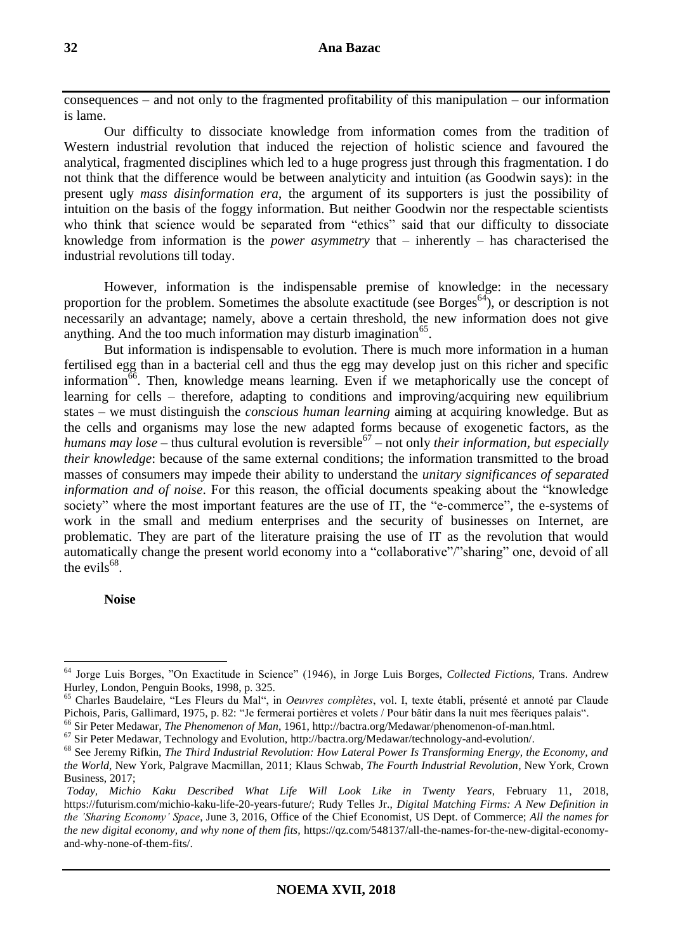consequences – and not only to the fragmented profitability of this manipulation – our information is lame.

Our difficulty to dissociate knowledge from information comes from the tradition of Western industrial revolution that induced the rejection of holistic science and favoured the analytical, fragmented disciplines which led to a huge progress just through this fragmentation. I do not think that the difference would be between analyticity and intuition (as Goodwin says): in the present ugly *mass disinformation era*, the argument of its supporters is just the possibility of intuition on the basis of the foggy information. But neither Goodwin nor the respectable scientists who think that science would be separated from "ethics" said that our difficulty to dissociate knowledge from information is the *power asymmetry* that – inherently – has characterised the industrial revolutions till today.

However, information is the indispensable premise of knowledge: in the necessary proportion for the problem. Sometimes the absolute exactitude (see Borges $^{64}$ ), or description is not necessarily an advantage; namely, above a certain threshold, the new information does not give anything. And the too much information may disturb imagination<sup>65</sup>.

But information is indispensable to evolution. There is much more information in a human fertilised egg than in a bacterial cell and thus the egg may develop just on this richer and specific information $\overline{66}$ . Then, knowledge means learning. Even if we metaphorically use the concept of learning for cells – therefore, adapting to conditions and improving/acquiring new equilibrium states – we must distinguish the *conscious human learning* aiming at acquiring knowledge. But as the cells and organisms may lose the new adapted forms because of exogenetic factors, as the humans may lose – thus cultural evolution is reversible<sup>67</sup> – not only *their information, but especially their knowledge*: because of the same external conditions; the information transmitted to the broad masses of consumers may impede their ability to understand the *unitary significances of separated information and of noise*. For this reason, the official documents speaking about the "knowledge society" where the most important features are the use of IT, the "e-commerce", the e-systems of work in the small and medium enterprises and the security of businesses on Internet, are problematic. They are part of the literature praising the use of IT as the revolution that would automatically change the present world economy into a "collaborative"/"sharing" one, devoid of all the evils<sup>68</sup>.

### **Noise**

<sup>64</sup> Jorge Luis Borges, "On Exactitude in Science" (1946), in Jorge Luis Borges, *Collected Fictions*, Trans. Andrew Hurley, London, Penguin Books, 1998, p. 325.

<sup>65</sup> Charles Baudelaire, "Les Fleurs du Mal", in *Oeuvres complètes*, vol. I, texte établi, présenté et annoté par Claude Pichois, Paris, Gallimard, 1975, p. 82: "Je fermerai portières et volets / Pour bâtir dans la nuit mes féeriques palais".

<sup>66</sup> Sir Peter Medawar, *The Phenomenon of Man*, 1961, http://bactra.org/Medawar/phenomenon-of-man.html.

<sup>67</sup> Sir Peter Medawar, Technology and Evolution, http://bactra.org/Medawar/technology-and-evolution/.

<sup>68</sup> See Jeremy Rifkin, *The Third Industrial Revolution: How Lateral Power Is Transforming Energy, the Economy, and the World*, New York, Palgrave Macmillan, 2011; Klaus Schwab, *The Fourth Industrial Revolution*, New York, Crown Business, 2017;

*Today, Michio Kaku Described What Life Will Look Like in Twenty Years*, February 11, 2018, https://futurism.com/michio-kaku-life-20-years-future/; Rudy Telles Jr., *Digital Matching Firms: A New Definition in the 'Sharing Economy' Space*, June 3, 2016, Office of the Chief Economist, US Dept. of Commerce; *All the names for the new digital economy, and why none of them fits,* https://qz.com/548137/all-the-names-for-the-new-digital-economyand-why-none-of-them-fits/.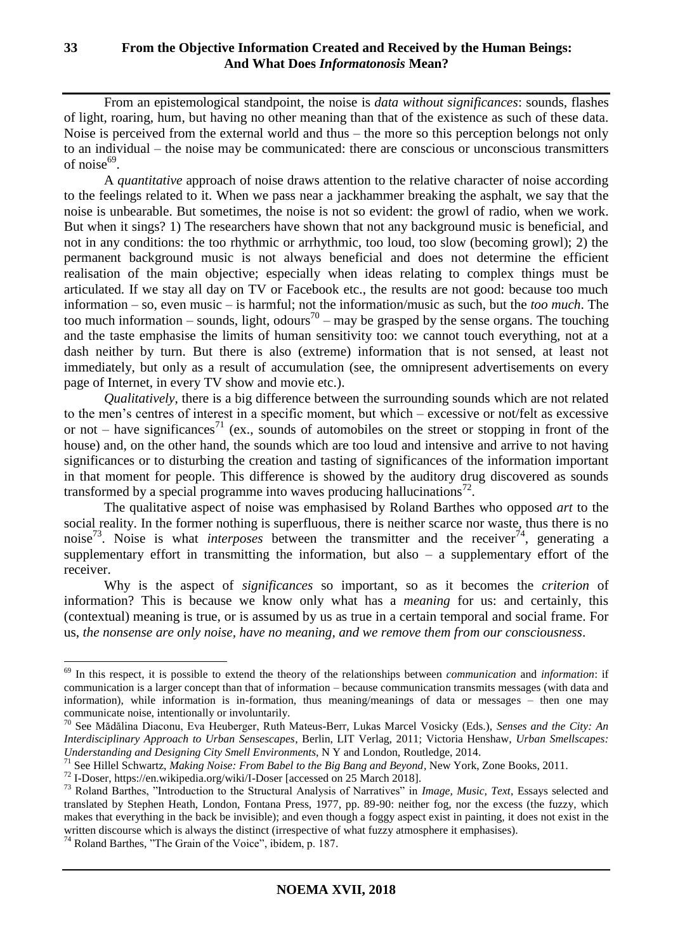From an epistemological standpoint, the noise is *data without significances*: sounds, flashes of light, roaring, hum, but having no other meaning than that of the existence as such of these data. Noise is perceived from the external world and thus – the more so this perception belongs not only to an individual – the noise may be communicated: there are conscious or unconscious transmitters of noise $^{69}$ .

A *quantitative* approach of noise draws attention to the relative character of noise according to the feelings related to it. When we pass near a jackhammer breaking the asphalt, we say that the noise is unbearable. But sometimes, the noise is not so evident: the growl of radio, when we work. But when it sings? 1) The researchers have shown that not any background music is beneficial, and not in any conditions: the too rhythmic or arrhythmic, too loud, too slow (becoming growl); 2) the permanent background music is not always beneficial and does not determine the efficient realisation of the main objective; especially when ideas relating to complex things must be articulated. If we stay all day on TV or Facebook etc., the results are not good: because too much information – so, even music – is harmful; not the information/music as such, but the *too much*. The too much information – sounds, light, odours<sup>70</sup> – may be grasped by the sense organs. The touching and the taste emphasise the limits of human sensitivity too: we cannot touch everything, not at a dash neither by turn. But there is also (extreme) information that is not sensed, at least not immediately, but only as a result of accumulation (see, the omnipresent advertisements on every page of Internet, in every TV show and movie etc.).

*Qualitatively*, there is a big difference between the surrounding sounds which are not related to the men's centres of interest in a specific moment, but which – excessive or not/felt as excessive or not – have significances<sup>71</sup> (ex., sounds of automobiles on the street or stopping in front of the house) and, on the other hand, the sounds which are too loud and intensive and arrive to not having significances or to disturbing the creation and tasting of significances of the information important in that moment for people. This difference is showed by the auditory drug discovered as sounds transformed by a special programme into waves producing hallucinations<sup>72</sup>.

The qualitative aspect of noise was emphasised by Roland Barthes who opposed *art* to the social reality. In the former nothing is superfluous, there is neither scarce nor waste, thus there is no noise<sup>73</sup>. Noise is what *interposes* between the transmitter and the receiver<sup>74</sup>, generating a supplementary effort in transmitting the information, but also  $-$  a supplementary effort of the receiver.

Why is the aspect of *significances* so important, so as it becomes the *criterion* of information? This is because we know only what has a *meaning* for us: and certainly, this (contextual) meaning is true, or is assumed by us as true in a certain temporal and social frame. For us, *the nonsense are only noise, have no meaning, and we remove them from our consciousness*.

<sup>72</sup> I-Doser, https://en.wikipedia.org/wiki/I-Doser [accessed on 25 March 2018].

<sup>69</sup> In this respect, it is possible to extend the theory of the relationships between *communication* and *information*: if communication is a larger concept than that of information – because communication transmits messages (with data and information), while information is in-formation, thus meaning/meanings of data or messages – then one may communicate noise, intentionally or involuntarily.

<sup>70</sup> See Mădălina Diaconu, Eva Heuberger, Ruth Mateus-Berr, Lukas Marcel Vosicky (Eds.), *Senses and the City: An Interdisciplinary Approach to Urban Sensescapes*, Berlin, LIT Verlag, 2011; Victoria Henshaw, *Urban Smellscapes: Understanding and Designing City Smell Environments*, N Y and London, Routledge, 2014.

<sup>&</sup>lt;sup>71</sup> See Hillel Schwartz, *Making Noise: From Babel to the Big Bang and Beyond*, New York, Zone Books, 2011.

<sup>73</sup> Roland Barthes, "Introduction to the Structural Analysis of Narratives" in *Image, Music, Text*, Essays selected and translated by Stephen Heath, London, Fontana Press, 1977, pp. 89-90: neither fog, nor the excess (the fuzzy, which makes that everything in the back be invisible); and even though a foggy aspect exist in painting, it does not exist in the written discourse which is always the distinct (irrespective of what fuzzy atmosphere it emphasises).

<sup>74</sup> Roland Barthes, "The Grain of the Voice", ibidem, p. 187.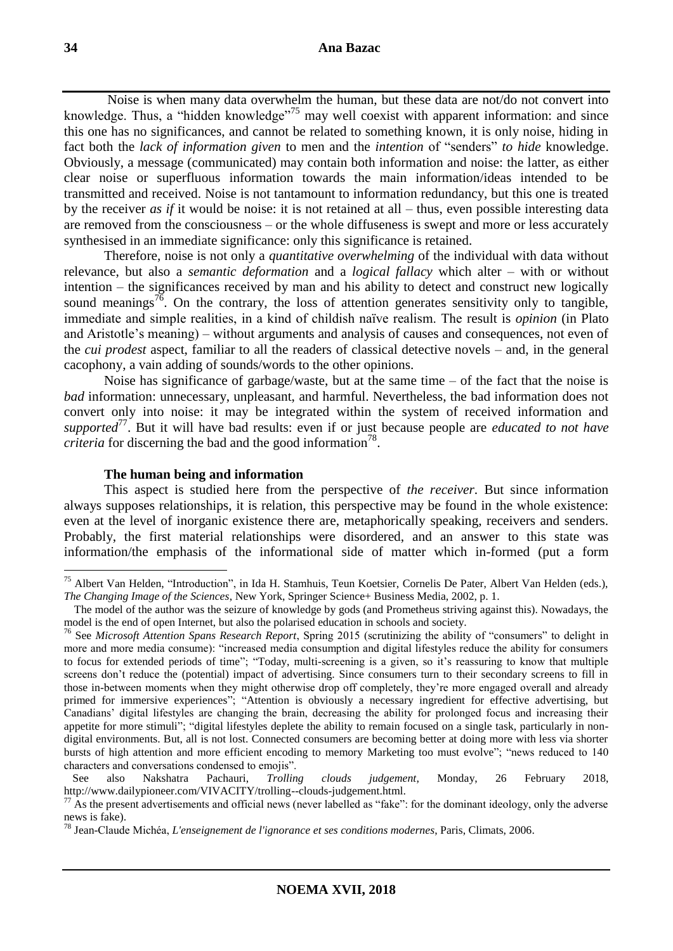Noise is when many data overwhelm the human, but these data are not/do not convert into knowledge. Thus, a "hidden knowledge"<sup>75</sup> may well coexist with apparent information: and since this one has no significances, and cannot be related to something known, it is only noise, hiding in fact both the *lack of information given* to men and the *intention* of "senders" *to hide* knowledge. Obviously, a message (communicated) may contain both information and noise: the latter, as either clear noise or superfluous information towards the main information/ideas intended to be transmitted and received. Noise is not tantamount to information redundancy, but this one is treated by the receiver *as if* it would be noise: it is not retained at all – thus, even possible interesting data are removed from the consciousness – or the whole diffuseness is swept and more or less accurately synthesised in an immediate significance: only this significance is retained.

Therefore, noise is not only a *quantitative overwhelming* of the individual with data without relevance, but also a *semantic deformation* and a *logical fallacy* which alter – with or without intention – the significances received by man and his ability to detect and construct new logically sound meanings<sup>76</sup>. On the contrary, the loss of attention generates sensitivity only to tangible, immediate and simple realities, in a kind of childish naïve realism. The result is *opinion* (in Plato and Aristotle's meaning) – without arguments and analysis of causes and consequences, not even of the *cui prodest* aspect, familiar to all the readers of classical detective novels – and, in the general cacophony, a vain adding of sounds/words to the other opinions.

Noise has significance of garbage/waste, but at the same time – of the fact that the noise is *bad* information: unnecessary, unpleasant, and harmful. Nevertheless, the bad information does not convert only into noise: it may be integrated within the system of received information and *supported*<sup>77</sup>. But it will have bad results: even if or just because people are *educated to not have criteria* for discerning the bad and the good information<sup>78</sup>.

### **The human being and information**

This aspect is studied here from the perspective of *the receiver*. But since information always supposes relationships, it is relation, this perspective may be found in the whole existence: even at the level of inorganic existence there are, metaphorically speaking, receivers and senders. Probably, the first material relationships were disordered, and an answer to this state was information/the emphasis of the informational side of matter which in-formed (put a form

<sup>&</sup>lt;sup>75</sup> Albert Van Helden, "Introduction", in Ida H. Stamhuis, Teun Koetsier, Cornelis De Pater, Albert Van Helden (eds.), *The Changing Image of the Sciences*, New York, Springer Science+ Business Media, 2002, p. 1.

The model of the author was the seizure of knowledge by gods (and Prometheus striving against this). Nowadays, the model is the end of open Internet, but also the polarised education in schools and society.

<sup>76</sup> See *Microsoft Attention Spans Research Report*, Spring 2015 (scrutinizing the ability of "consumers" to delight in more and more media consume): "increased media consumption and digital lifestyles reduce the ability for consumers to focus for extended periods of time"; "Today, multi-screening is a given, so it's reassuring to know that multiple screens don't reduce the (potential) impact of advertising. Since consumers turn to their secondary screens to fill in those in-between moments when they might otherwise drop off completely, they're more engaged overall and already primed for immersive experiences"; "Attention is obviously a necessary ingredient for effective advertising, but Canadians' digital lifestyles are changing the brain, decreasing the ability for prolonged focus and increasing their appetite for more stimuli"; "digital lifestyles deplete the ability to remain focused on a single task, particularly in nondigital environments. But, all is not lost. Connected consumers are becoming better at doing more with less via shorter bursts of high attention and more efficient encoding to memory Marketing too must evolve"; "news reduced to 140 characters and conversations condensed to emojis".

See also Nakshatra Pachauri, *Trolling clouds judgement*, Monday, 26 February 2018, http://www.dailypioneer.com/VIVACITY/trolling--clouds-judgement.html.

 $77$  As the present advertisements and official news (never labelled as "fake": for the dominant ideology, only the adverse news is fake).

<sup>78</sup> Jean-Claude Michéa, *L'enseignement de l'ignorance et ses conditions modernes*, Paris, Climats, 2006.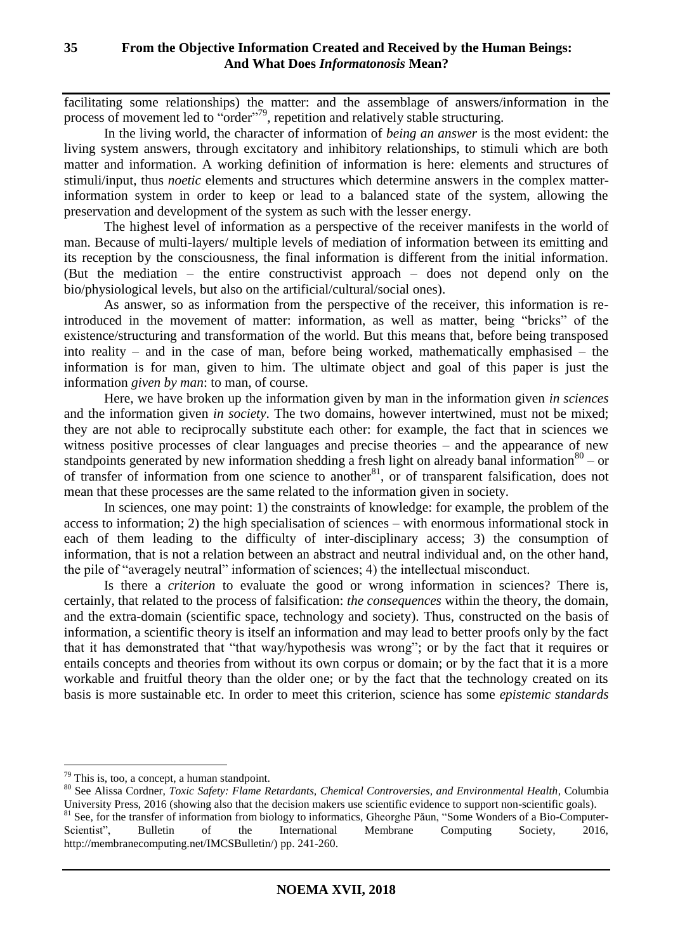facilitating some relationships) the matter: and the assemblage of answers/information in the process of movement led to "order"<sup>79</sup>, repetition and relatively stable structuring.

In the living world, the character of information of *being an answer* is the most evident: the living system answers, through excitatory and inhibitory relationships, to stimuli which are both matter and information. A working definition of information is here: elements and structures of stimuli/input, thus *noetic* elements and structures which determine answers in the complex matterinformation system in order to keep or lead to a balanced state of the system, allowing the preservation and development of the system as such with the lesser energy.

The highest level of information as a perspective of the receiver manifests in the world of man. Because of multi-layers/ multiple levels of mediation of information between its emitting and its reception by the consciousness, the final information is different from the initial information. (But the mediation – the entire constructivist approach – does not depend only on the bio/physiological levels, but also on the artificial/cultural/social ones).

As answer, so as information from the perspective of the receiver, this information is reintroduced in the movement of matter: information, as well as matter, being "bricks" of the existence/structuring and transformation of the world. But this means that, before being transposed into reality – and in the case of man, before being worked, mathematically emphasised – the information is for man, given to him. The ultimate object and goal of this paper is just the information *given by man*: to man, of course.

Here, we have broken up the information given by man in the information given *in sciences* and the information given *in society*. The two domains, however intertwined, must not be mixed; they are not able to reciprocally substitute each other: for example, the fact that in sciences we witness positive processes of clear languages and precise theories – and the appearance of new standpoints generated by new information shedding a fresh light on already banal information  $80 -$  or of transfer of information from one science to another<sup>81</sup>, or of transparent falsification, does not mean that these processes are the same related to the information given in society.

In sciences, one may point: 1) the constraints of knowledge: for example, the problem of the access to information; 2) the high specialisation of sciences – with enormous informational stock in each of them leading to the difficulty of inter-disciplinary access; 3) the consumption of information, that is not a relation between an abstract and neutral individual and, on the other hand, the pile of "averagely neutral" information of sciences; 4) the intellectual misconduct.

Is there a *criterion* to evaluate the good or wrong information in sciences? There is, certainly, that related to the process of falsification: *the consequences* within the theory, the domain, and the extra-domain (scientific space, technology and society). Thus, constructed on the basis of information, a scientific theory is itself an information and may lead to better proofs only by the fact that it has demonstrated that "that way/hypothesis was wrong"; or by the fact that it requires or entails concepts and theories from without its own corpus or domain; or by the fact that it is a more workable and fruitful theory than the older one; or by the fact that the technology created on its basis is more sustainable etc. In order to meet this criterion, science has some *epistemic standards*

<sup>79</sup> This is, too, a concept, a human standpoint.

<sup>80</sup> See Alissa Cordner, *Toxic Safety: Flame Retardants, Chemical Controversies, and Environmental Health*, Columbia University Press, 2016 (showing also that the decision makers use scientific evidence to support non-scientific goals). <sup>81</sup> See, for the transfer of information from biology to informatics, Gheorghe Păun, "Some Wonders of a Bio-Computer-Scientist", Bulletin of the International Membrane Computing Society, 2016, http://membranecomputing.net/IMCSBulletin/) pp. 241-260.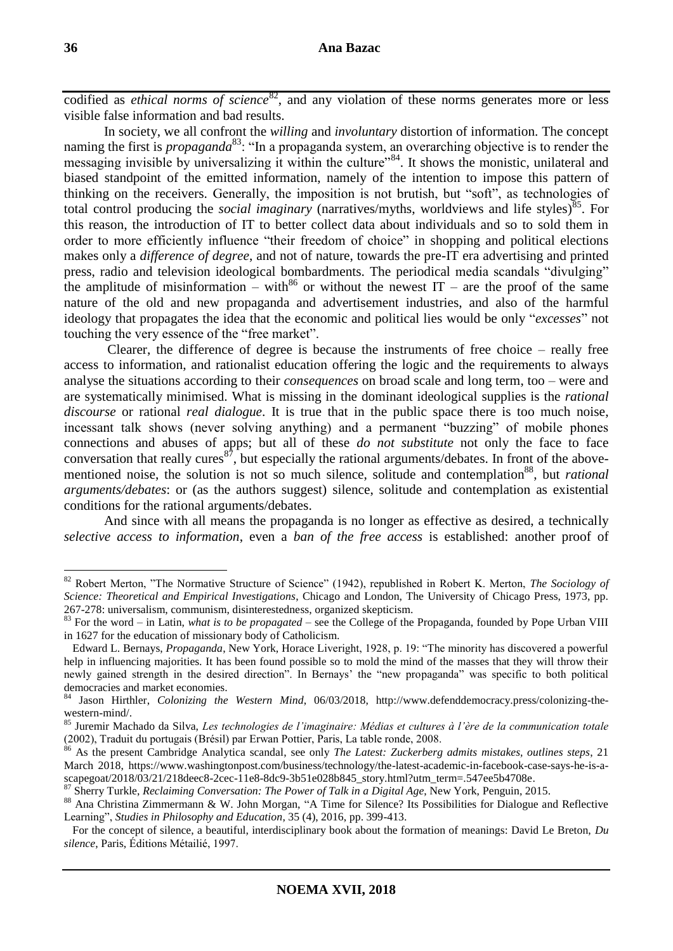codified as *ethical norms of science*<sup>82</sup>, and any violation of these norms generates more or less visible false information and bad results.

In society, we all confront the *willing* and *involuntary* distortion of information. The concept naming the first is *propaganda*<sup>83</sup>: "In a propaganda system, an overarching objective is to render the messaging invisible by universalizing it within the culture<sup> $384$ </sup>. It shows the monistic, unilateral and biased standpoint of the emitted information, namely of the intention to impose this pattern of thinking on the receivers. Generally, the imposition is not brutish, but "soft", as technologies of total control producing the *social imaginary* (narratives/myths, worldviews and life styles)<sup>85</sup>. For this reason, the introduction of IT to better collect data about individuals and so to sold them in order to more efficiently influence "their freedom of choice" in shopping and political elections makes only a *difference of degree*, and not of nature, towards the pre-IT era advertising and printed press, radio and television ideological bombardments. The periodical media scandals "divulging" the amplitude of misinformation – with<sup>86</sup> or without the newest IT – are the proof of the same nature of the old and new propaganda and advertisement industries, and also of the harmful ideology that propagates the idea that the economic and political lies would be only "*excesses*" not touching the very essence of the "free market".

Clearer, the difference of degree is because the instruments of free choice – really free access to information, and rationalist education offering the logic and the requirements to always analyse the situations according to their *consequences* on broad scale and long term, too – were and are systematically minimised. What is missing in the dominant ideological supplies is the *rational discourse* or rational *real dialogue*. It is true that in the public space there is too much noise, incessant talk shows (never solving anything) and a permanent "buzzing" of mobile phones connections and abuses of apps; but all of these *do not substitute* not only the face to face conversation that really cures<sup>87</sup>, but especially the rational arguments/debates. In front of the abovementioned noise, the solution is not so much silence, solitude and contemplation<sup>88</sup>, but *rational arguments/debates*: or (as the authors suggest) silence, solitude and contemplation as existential conditions for the rational arguments/debates.

And since with all means the propaganda is no longer as effective as desired, a technically *selective access to information*, even a *ban of the free access* is established: another proof of

<sup>82</sup> Robert Merton, "The Normative Structure of Science" (1942), republished in Robert K. Merton, *The Sociology of Science: Theoretical and Empirical Investigations*, Chicago and London, The University of Chicago Press, 1973, pp. 267-278: universalism, communism, disinterestedness, organized skepticism.

<sup>83</sup> For the word – in Latin, *what is to be propagated* – see the College of the Propaganda, founded by Pope Urban VIII in 1627 for the education of missionary body of Catholicism.

Edward L. Bernays, *Propaganda*, New York, Horace Liveright, 1928, p. 19: "The minority has discovered a powerful help in influencing majorities. It has been found possible so to mold the mind of the masses that they will throw their newly gained strength in the desired direction". In Bernays' the "new propaganda" was specific to both political democracies and market economies.

<sup>84</sup> Jason Hirthler, *Colonizing the Western Mind*, 06/03/2018, http://www.defenddemocracy.press/colonizing-thewestern-mind/.

<sup>85</sup> Juremir Machado da Silva, *Les technologies de l'imaginaire: Médias et cultures à l'ère de la communication totale* (2002), Traduit du portugais (Brésil) par Erwan Pottier, Paris, La table ronde, 2008.

<sup>86</sup> As the present Cambridge Analytica scandal, see only *The Latest: Zuckerberg admits mistakes, outlines steps*, 21 March 2018, https://www.washingtonpost.com/business/technology/the-latest-academic-in-facebook-case-says-he-is-ascapegoat/2018/03/21/218deec8-2cec-11e8-8dc9-3b51e028b845\_story.html?utm\_term=.547ee5b4708e.

<sup>87</sup> Sherry Turkle, *Reclaiming Conversation: The Power of Talk in a Digital Age*, New York, Penguin, 2015.

<sup>88</sup> Ana Christina Zimmermann & W. John Morgan, "A Time for Silence? Its Possibilities for Dialogue and Reflective Learning", *Studies in Philosophy and Education*, 35 (4), 2016, pp. 399-413.

For the concept of silence, a beautiful, interdisciplinary book about the formation of meanings: David Le Breton, *Du silence*, Paris, Éditions Métailié, 1997.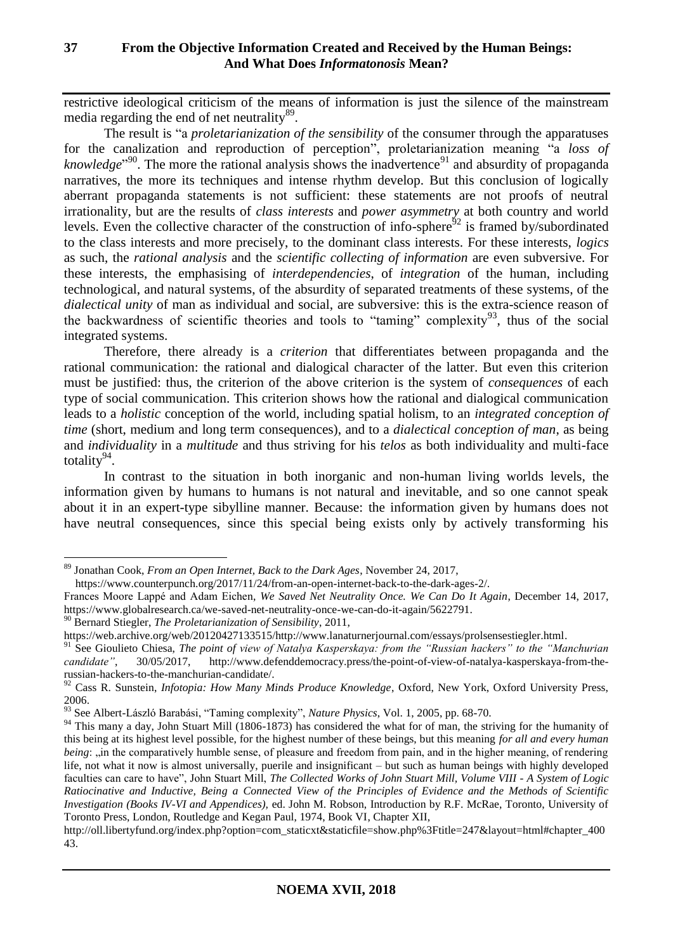restrictive ideological criticism of the means of information is just the silence of the mainstream media regarding the end of net neutrality<sup>89</sup>.

The result is "a *proletarianization of the sensibility* of the consumer through the apparatuses for the canalization and reproduction of perception", proletarianization meaning "a *loss of*  knowledge<sup>",90</sup>. The more the rational analysis shows the inadvertence<sup>91</sup> and absurdity of propaganda narratives, the more its techniques and intense rhythm develop. But this conclusion of logically aberrant propaganda statements is not sufficient: these statements are not proofs of neutral irrationality, but are the results of *class interests* and *power asymmetry* at both country and world levels. Even the collective character of the construction of info-sphere<sup>92</sup> is framed by/subordinated to the class interests and more precisely, to the dominant class interests. For these interests, *logics* as such, the *rational analysis* and the *scientific collecting of information* are even subversive. For these interests, the emphasising of *interdependencies*, of *integration* of the human, including technological, and natural systems, of the absurdity of separated treatments of these systems, of the *dialectical unity* of man as individual and social, are subversive: this is the extra-science reason of the backwardness of scientific theories and tools to "taming" complexity<sup>93</sup>, thus of the social integrated systems.

Therefore, there already is a *criterion* that differentiates between propaganda and the rational communication: the rational and dialogical character of the latter. But even this criterion must be justified: thus, the criterion of the above criterion is the system of *consequences* of each type of social communication. This criterion shows how the rational and dialogical communication leads to a *holistic* conception of the world, including spatial holism, to an *integrated conception of time* (short, medium and long term consequences), and to a *dialectical conception of man*, as being and *individuality* in a *multitude* and thus striving for his *telos* as both individuality and multi-face totality $94$ .

In contrast to the situation in both inorganic and non-human living worlds levels, the information given by humans to humans is not natural and inevitable, and so one cannot speak about it in an expert-type sibylline manner. Because: the information given by humans does not have neutral consequences, since this special being exists only by actively transforming his

<sup>89</sup> Jonathan Cook, *From an Open Internet, Back to the Dark Ages*, November 24, 2017,

https://www.counterpunch.org/2017/11/24/from-an-open-internet-back-to-the-dark-ages-2/.

Frances Moore Lappé and Adam Eichen, *We Saved Net Neutrality Once. We Can Do It Again*, December 14, 2017, https://www.globalresearch.ca/we-saved-net-neutrality-once-we-can-do-it-again/5622791.

<sup>90</sup> Bernard Stiegler, *The Proletarianization of Sensibility*, 2011,

https://web.archive.org/web/20120427133515/http://www.lanaturnerjournal.com/essays/prolsensestiegler.html.

<sup>91</sup> See Gioulieto Chiesa, *The point of view of Natalya Kasperskaya: from the "Russian hackers" to the "Manchurian candidate"*, 30/05/2017, http://www.defenddemocracy.press/the-point-of-view-of-natalya-kasperskaya-from-therussian-hackers-to-the-manchurian-candidate/.

<sup>92</sup> Cass R. Sunstein, *Infotopia: How Many Minds Produce Knowledge*, Oxford, New York, Oxford University Press, 2006.

<sup>93</sup> See Albert-László Barabási, "Taming complexity", *Nature Physics*, Vol. 1, 2005, pp. 68-70.

<sup>&</sup>lt;sup>94</sup> This many a day, John Stuart Mill (1806-1873) has considered the what for of man, the striving for the humanity of this being at its highest level possible, for the highest number of these beings, but this meaning *for all and every human being*: "in the comparatively humble sense, of pleasure and freedom from pain, and in the higher meaning, of rendering life, not what it now is almost universally, puerile and insignificant – but such as human beings with highly developed faculties can care to have", John Stuart Mill, *The Collected Works of John Stuart Mill, Volume VIII - A System of Logic Ratiocinative and Inductive, Being a Connected View of the Principles of Evidence and the Methods of Scientific Investigation (Books IV-VI and Appendices),* ed. John M. Robson, Introduction by R.F. McRae, Toronto, University of Toronto Press, London, Routledge and Kegan Paul, 1974, Book VI, Chapter XII,

http://oll.libertyfund.org/index.php?option=com\_staticxt&staticfile=show.php%3Ftitle=247&layout=html#chapter\_400 43.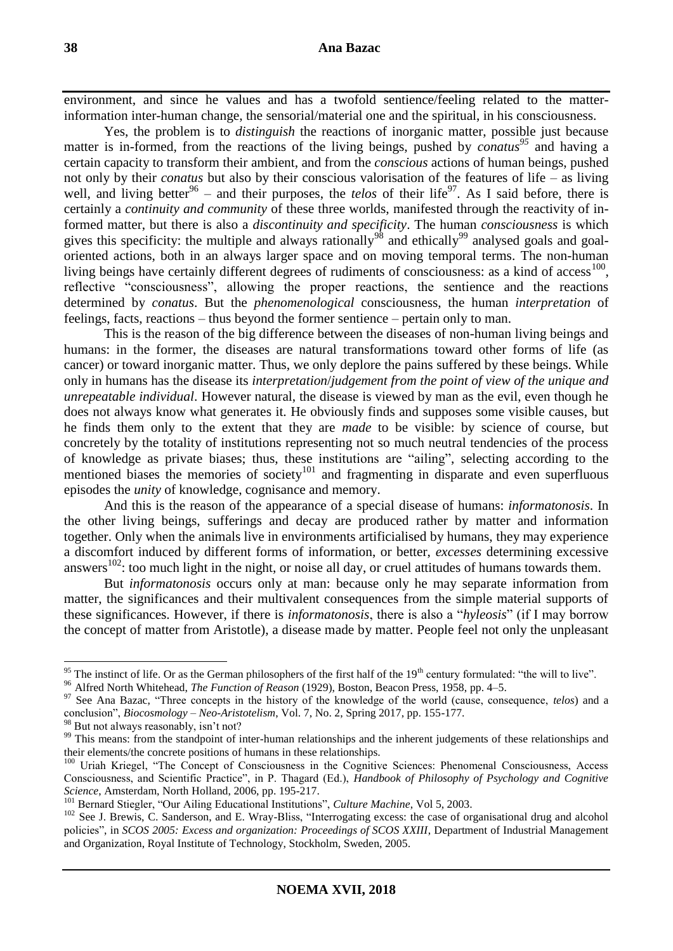environment, and since he values and has a twofold sentience/feeling related to the matterinformation inter-human change, the sensorial/material one and the spiritual, in his consciousness.

Yes, the problem is to *distinguish* the reactions of inorganic matter, possible just because matter is in-formed, from the reactions of the living beings, pushed by *conatus<sup>95</sup>* and having a certain capacity to transform their ambient, and from the *conscious* actions of human beings, pushed not only by their *conatus* but also by their conscious valorisation of the features of life – as living well, and living better<sup>96</sup> – and their purposes, the *telos* of their life<sup>97</sup>. As I said before, there is certainly a *continuity and community* of these three worlds, manifested through the reactivity of informed matter, but there is also a *discontinuity and specificity*. The human *consciousness* is which gives this specificity: the multiple and always rationally<sup>98</sup> and ethically<sup>99</sup> analysed goals and goaloriented actions, both in an always larger space and on moving temporal terms. The non-human living beings have certainly different degrees of rudiments of consciousness: as a kind of access<sup>100</sup>, reflective "consciousness", allowing the proper reactions, the sentience and the reactions determined by *conatus*. But the *phenomenological* consciousness, the human *interpretation* of feelings, facts, reactions – thus beyond the former sentience – pertain only to man.

This is the reason of the big difference between the diseases of non-human living beings and humans: in the former, the diseases are natural transformations toward other forms of life (as cancer) or toward inorganic matter. Thus, we only deplore the pains suffered by these beings. While only in humans has the disease its *interpretation*/*judgement from the point of view of the unique and unrepeatable individual*. However natural, the disease is viewed by man as the evil, even though he does not always know what generates it. He obviously finds and supposes some visible causes, but he finds them only to the extent that they are *made* to be visible: by science of course, but concretely by the totality of institutions representing not so much neutral tendencies of the process of knowledge as private biases; thus, these institutions are "ailing", selecting according to the mentioned biases the memories of society<sup>101</sup> and fragmenting in disparate and even superfluous episodes the *unity* of knowledge, cognisance and memory.

And this is the reason of the appearance of a special disease of humans: *informatonosis*. In the other living beings, sufferings and decay are produced rather by matter and information together. Only when the animals live in environments artificialised by humans, they may experience a discomfort induced by different forms of information, or better, *excesses* determining excessive answers<sup>102</sup>: too much light in the night, or noise all day, or cruel attitudes of humans towards them.

But *informatonosis* occurs only at man: because only he may separate information from matter, the significances and their multivalent consequences from the simple material supports of these significances. However, if there is *informatonosis*, there is also a "*hyleosis*" (if I may borrow the concept of matter from Aristotle), a disease made by matter. People feel not only the unpleasant

<sup>&</sup>lt;sup>95</sup> The instinct of life. Or as the German philosophers of the first half of the  $19<sup>th</sup>$  century formulated: "the will to live".

<sup>96</sup> Alfred North Whitehead, *The Function of Reason* (1929), Boston, Beacon Press, 1958, pp. 4–5.

<sup>&</sup>lt;sup>97</sup> See Ana Bazac, "Three concepts in the history of the knowledge of the world (cause, consequence, *telos*) and a conclusion", *Biocosmology – Neo-Aristotelism*, Vol. 7, No. 2, Spring 2017, pp. 155-177.

<sup>&</sup>lt;sup>98</sup> But not always reasonably, isn't not?

<sup>&</sup>lt;sup>99</sup> This means: from the standpoint of inter-human relationships and the inherent judgements of these relationships and their elements/the concrete positions of humans in these relationships.

<sup>&</sup>lt;sup>100</sup> Uriah Kriegel, "The Concept of Consciousness in the Cognitive Sciences: Phenomenal Consciousness, Access Consciousness, and Scientific Practice", in P. Thagard (Ed.), *Handbook of Philosophy of Psychology and Cognitive Science*, Amsterdam, North Holland, 2006, pp. 195-217.

<sup>101</sup> Bernard Stiegler, "Our Ailing Educational Institutions", *Culture Machine*, Vol 5, 2003.

<sup>&</sup>lt;sup>102</sup> See J. Brewis, C. Sanderson, and E. Wray-Bliss, "Interrogating excess: the case of organisational drug and alcohol policies", in *SCOS 2005: Excess and organization: Proceedings of SCOS XXIII*, Department of Industrial Management and Organization, Royal Institute of Technology, Stockholm, Sweden, 2005.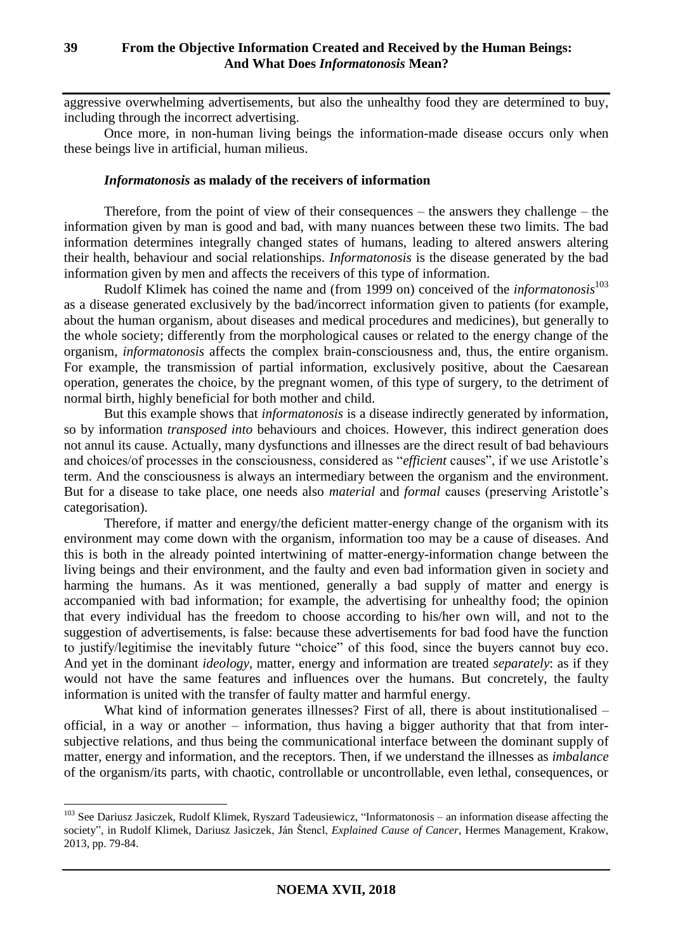aggressive overwhelming advertisements, but also the unhealthy food they are determined to buy, including through the incorrect advertising.

Once more, in non-human living beings the information-made disease occurs only when these beings live in artificial, human milieus.

### *Informatonosis* **as malady of the receivers of information**

Therefore, from the point of view of their consequences – the answers they challenge – the information given by man is good and bad, with many nuances between these two limits. The bad information determines integrally changed states of humans, leading to altered answers altering their health, behaviour and social relationships. *Informatonosis* is the disease generated by the bad information given by men and affects the receivers of this type of information.

Rudolf Klimek has coined the name and (from 1999 on) conceived of the *informatonosis*<sup>103</sup> as a disease generated exclusively by the bad/incorrect information given to patients (for example, about the human organism, about diseases and medical procedures and medicines), but generally to the whole society; differently from the morphological causes or related to the energy change of the organism, *informatonosis* affects the complex brain-consciousness and, thus, the entire organism. For example, the transmission of partial information, exclusively positive, about the Caesarean operation, generates the choice, by the pregnant women, of this type of surgery, to the detriment of normal birth, highly beneficial for both mother and child.

But this example shows that *informatonosis* is a disease indirectly generated by information, so by information *transposed into* behaviours and choices. However, this indirect generation does not annul its cause. Actually, many dysfunctions and illnesses are the direct result of bad behaviours and choices/of processes in the consciousness, considered as "*efficient* causes", if we use Aristotle's term. And the consciousness is always an intermediary between the organism and the environment. But for a disease to take place, one needs also *material* and *formal* causes (preserving Aristotle's categorisation).

Therefore, if matter and energy/the deficient matter-energy change of the organism with its environment may come down with the organism, information too may be a cause of diseases. And this is both in the already pointed intertwining of matter-energy-information change between the living beings and their environment, and the faulty and even bad information given in society and harming the humans. As it was mentioned, generally a bad supply of matter and energy is accompanied with bad information; for example, the advertising for unhealthy food; the opinion that every individual has the freedom to choose according to his/her own will, and not to the suggestion of advertisements, is false: because these advertisements for bad food have the function to justify/legitimise the inevitably future "choice" of this food, since the buyers cannot buy eco. And yet in the dominant *ideology*, matter, energy and information are treated *separately*: as if they would not have the same features and influences over the humans. But concretely, the faulty information is united with the transfer of faulty matter and harmful energy.

What kind of information generates illnesses? First of all, there is about institutionalised – official, in a way or another – information, thus having a bigger authority that that from intersubjective relations, and thus being the communicational interface between the dominant supply of matter, energy and information, and the receptors. Then, if we understand the illnesses as *imbalance*  of the organism/its parts, with chaotic, controllable or uncontrollable, even lethal, consequences, or

<sup>&</sup>lt;sup>103</sup> See Dariusz Jasiczek, Rudolf Klimek, Ryszard Tadeusiewicz, "Informatonosis – an information disease affecting the society", in Rudolf Klimek, Dariusz Jasiczek, Ján Štencl, *Explained Cause of Cancer*, Hermes Management, Krakow, 2013, pp. 79-84.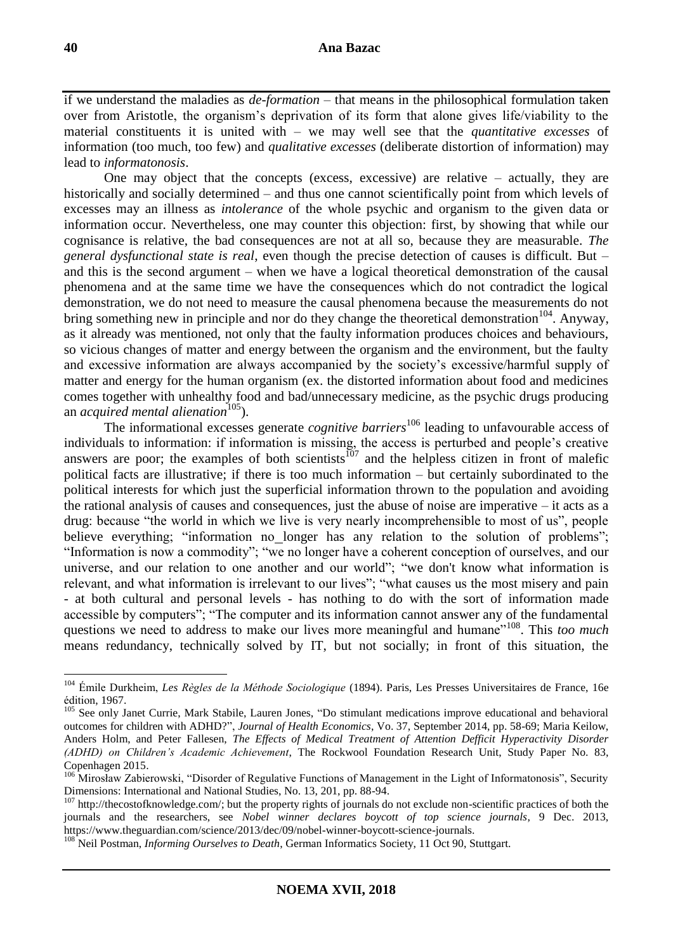if we understand the maladies as *de-formation* – that means in the philosophical formulation taken over from Aristotle, the organism's deprivation of its form that alone gives life/viability to the material constituents it is united with – we may well see that the *quantitative excesses* of information (too much, too few) and *qualitative excesses* (deliberate distortion of information) may lead to *informatonosis*.

One may object that the concepts (excess, excessive) are relative – actually, they are historically and socially determined – and thus one cannot scientifically point from which levels of excesses may an illness as *intolerance* of the whole psychic and organism to the given data or information occur. Nevertheless, one may counter this objection: first, by showing that while our cognisance is relative, the bad consequences are not at all so, because they are measurable. *The general dysfunctional state is real*, even though the precise detection of causes is difficult. But – and this is the second argument – when we have a logical theoretical demonstration of the causal phenomena and at the same time we have the consequences which do not contradict the logical demonstration, we do not need to measure the causal phenomena because the measurements do not bring something new in principle and nor do they change the theoretical demonstration<sup>104</sup>. Anyway, as it already was mentioned, not only that the faulty information produces choices and behaviours, so vicious changes of matter and energy between the organism and the environment, but the faulty and excessive information are always accompanied by the society's excessive/harmful supply of matter and energy for the human organism (ex. the distorted information about food and medicines comes together with unhealthy food and bad/unnecessary medicine, as the psychic drugs producing an *acquired mental alienation*<sup>105</sup>).

The informational excesses generate *cognitive barriers*<sup>106</sup> leading to unfavourable access of individuals to information: if information is missing, the access is perturbed and people's creative answers are poor; the examples of both scientists<sup>107</sup> and the helpless citizen in front of malefic political facts are illustrative; if there is too much information – but certainly subordinated to the political interests for which just the superficial information thrown to the population and avoiding the rational analysis of causes and consequences, just the abuse of noise are imperative – it acts as a drug: because "the world in which we live is very nearly incomprehensible to most of us", people believe everything; "information no longer has any relation to the solution of problems"; "Information is now a commodity"; "we no longer have a coherent conception of ourselves, and our universe, and our relation to one another and our world"; "we don't know what information is relevant, and what information is irrelevant to our lives"; "what causes us the most misery and pain - at both cultural and personal levels - has nothing to do with the sort of information made accessible by computers"; "The computer and its information cannot answer any of the fundamental questions we need to address to make our lives more meaningful and humane"<sup>108</sup>. This *too much* means redundancy, technically solved by IT, but not socially; in front of this situation, the

<sup>104</sup> Émile Durkheim, *Les Règles de la Méthode Sociologique* (1894). Paris, Les Presses Universitaires de France, 16e édition, 1967.

<sup>&</sup>lt;sup>105</sup> See only Janet Currie, Mark Stabile, Lauren Jones, "Do stimulant medications improve educational and behavioral outcomes for children with ADHD?", *Journal of Health Economics*, Vo. 37, September 2014, pp. 58-69; Maria Keilow, Anders Holm, and Peter Fallesen, *The Effects of Medical Treatment of Attention Defficit Hyperactivity Disorder (ADHD) on Children's Academic Achievement*, The Rockwool Foundation Research Unit, Study Paper No. 83, Copenhagen 2015.

<sup>&</sup>lt;sup>106</sup> Mirosław Zabierowski, "Disorder of Regulative Functions of Management in the Light of Informatonosis", Security Dimensions: International and National Studies, No. 13, 201, pp. 88-94.

<sup>&</sup>lt;sup>107</sup> http://thecostofknowledge.com/; but the property rights of journals do not exclude non-scientific practices of both the journals and the researchers, see *Nobel winner declares boycott of top science journals*, 9 Dec. 2013, https://www.theguardian.com/science/2013/dec/09/nobel-winner-boycott-science-journals.

<sup>&</sup>lt;sup>108</sup> Neil Postman, *Informing Ourselves to Death*, German Informatics Society, 11 Oct 90, Stuttgart.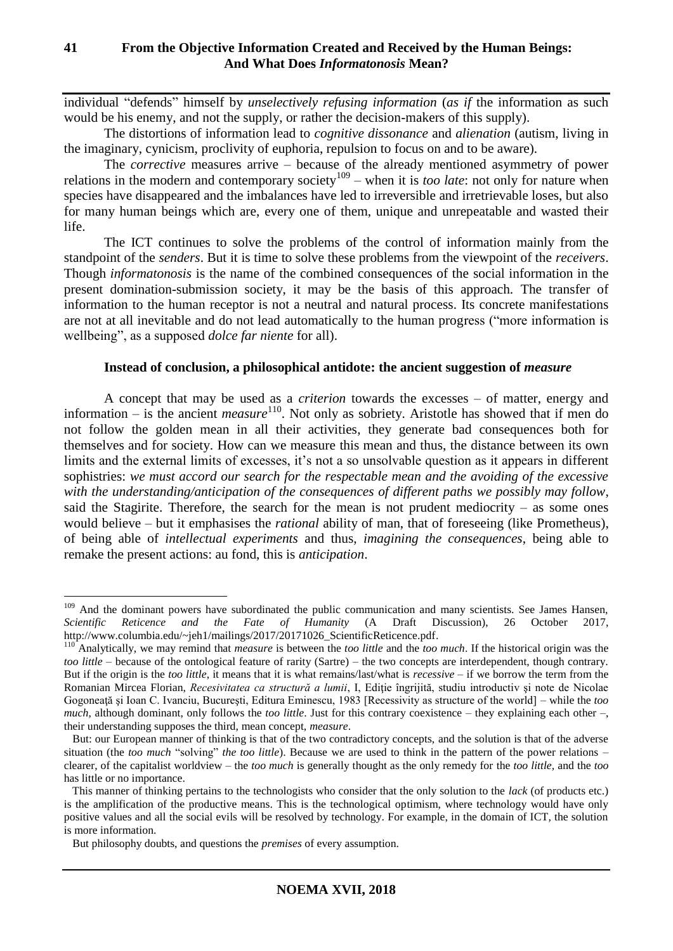individual "defends" himself by *unselectively refusing information* (*as if* the information as such would be his enemy, and not the supply, or rather the decision-makers of this supply).

The distortions of information lead to *cognitive dissonance* and *alienation* (autism, living in the imaginary, cynicism, proclivity of euphoria, repulsion to focus on and to be aware).

The *corrective* measures arrive – because of the already mentioned asymmetry of power relations in the modern and contemporary society<sup>109</sup> – when it is *too late*: not only for nature when species have disappeared and the imbalances have led to irreversible and irretrievable loses, but also for many human beings which are, every one of them, unique and unrepeatable and wasted their life.

The ICT continues to solve the problems of the control of information mainly from the standpoint of the *senders*. But it is time to solve these problems from the viewpoint of the *receivers*. Though *informatonosis* is the name of the combined consequences of the social information in the present domination-submission society, it may be the basis of this approach. The transfer of information to the human receptor is not a neutral and natural process. Its concrete manifestations are not at all inevitable and do not lead automatically to the human progress ("more information is wellbeing", as a supposed *dolce far niente* for all).

# **Instead of conclusion, a philosophical antidote: the ancient suggestion of** *measure*

A concept that may be used as a *criterion* towards the excesses – of matter, energy and information – is the ancient *measure* <sup>110</sup>. Not only as sobriety. Aristotle has showed that if men do not follow the golden mean in all their activities, they generate bad consequences both for themselves and for society. How can we measure this mean and thus, the distance between its own limits and the external limits of excesses, it's not a so unsolvable question as it appears in different sophistries: *we must accord our search for the respectable mean and the avoiding of the excessive with the understanding/anticipation of the consequences of different paths we possibly may follow*, said the Stagirite. Therefore, the search for the mean is not prudent mediocrity – as some ones would believe – but it emphasises the *rational* ability of man, that of foreseeing (like Prometheus), of being able of *intellectual experiments* and thus, *imagining the consequences*, being able to remake the present actions: au fond, this is *anticipation*.

<sup>&</sup>lt;sup>109</sup> And the dominant powers have subordinated the public communication and many scientists. See James Hansen, *Scientific Reticence and the Fate of Humanity* (A Draft Discussion), 26 October 2017, http://www.columbia.edu/~jeh1/mailings/2017/20171026\_ScientificReticence.pdf.

<sup>110</sup> Analytically, we may remind that *measure* is between the *too little* and the *too much*. If the historical origin was the *too little* – because of the ontological feature of rarity (Sartre) – the two concepts are interdependent, though contrary. But if the origin is the *too little*, it means that it is what remains/last/what is *recessive* – if we borrow the term from the Romanian Mircea Florian, *Recesivitatea ca structură a lumii*, I, Editie îngrijită, studiu introductiv și note de Nicolae Gogoneaţă şi Ioan C. Ivanciu, Bucureşti, Editura Eminescu, 1983 [Recessivity as structure of the world] – while the *too much*, although dominant, only follows the *too little*. Just for this contrary coexistence – they explaining each other –, their understanding supposes the third, mean concept, *measure*.

But: our European manner of thinking is that of the two contradictory concepts, and the solution is that of the adverse situation (the *too much* "solving" *the too little*). Because we are used to think in the pattern of the power relations – clearer, of the capitalist worldview – the *too much* is generally thought as the only remedy for the *too little,* and the *too* has little or no importance.

This manner of thinking pertains to the technologists who consider that the only solution to the *lack* (of products etc.) is the amplification of the productive means. This is the technological optimism, where technology would have only positive values and all the social evils will be resolved by technology. For example, in the domain of ICT, the solution is more information.

But philosophy doubts, and questions the *premises* of every assumption.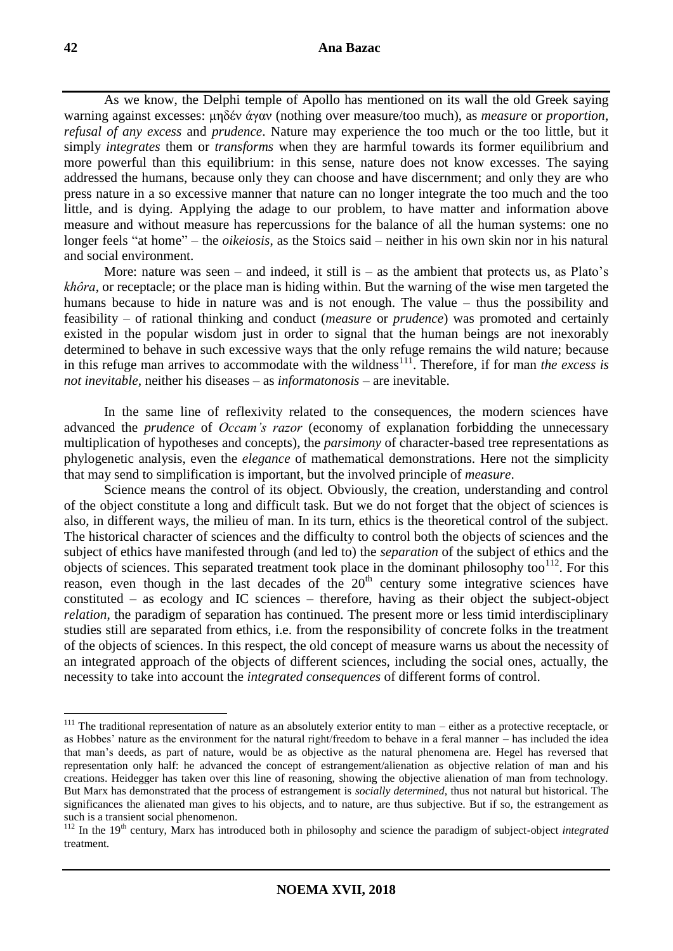As we know, the Delphi temple of Apollo has mentioned on its wall the old Greek saying warning against excesses: μηδέν άγαν (nothing over measure/too much), as *measure* or *proportion*, *refusal of any excess* and *prudence*. Nature may experience the too much or the too little, but it simply *integrates* them or *transforms* when they are harmful towards its former equilibrium and more powerful than this equilibrium: in this sense, nature does not know excesses. The saying addressed the humans, because only they can choose and have discernment; and only they are who press nature in a so excessive manner that nature can no longer integrate the too much and the too little, and is dying. Applying the adage to our problem, to have matter and information above measure and without measure has repercussions for the balance of all the human systems: one no longer feels "at home" – the *oikeiosis*, as the Stoics said – neither in his own skin nor in his natural and social environment.

More: nature was seen – and indeed, it still is – as the ambient that protects us, as Plato's *khôra*, or receptacle; or the place man is hiding within. But the warning of the wise men targeted the humans because to hide in nature was and is not enough. The value – thus the possibility and feasibility – of rational thinking and conduct (*measure* or *prudence*) was promoted and certainly existed in the popular wisdom just in order to signal that the human beings are not inexorably determined to behave in such excessive ways that the only refuge remains the wild nature; because in this refuge man arrives to accommodate with the wildness<sup>111</sup>. Therefore, if for man *the excess is not inevitable*, neither his diseases – as *informatonosis* – are inevitable.

In the same line of reflexivity related to the consequences, the modern sciences have advanced the *prudence* of *Occam's razor* (economy of explanation forbidding the unnecessary multiplication of hypotheses and concepts), the *parsimony* of character-based tree representations as phylogenetic analysis, even the *elegance* of mathematical demonstrations. Here not the simplicity that may send to simplification is important, but the involved principle of *measure*.

Science means the control of its object. Obviously, the creation, understanding and control of the object constitute a long and difficult task. But we do not forget that the object of sciences is also, in different ways, the milieu of man. In its turn, ethics is the theoretical control of the subject. The historical character of sciences and the difficulty to control both the objects of sciences and the subject of ethics have manifested through (and led to) the *separation* of the subject of ethics and the objects of sciences. This separated treatment took place in the dominant philosophy too<sup>112</sup>. For this reason, even though in the last decades of the 20<sup>th</sup> century some integrative sciences have constituted – as ecology and IC sciences – therefore, having as their object the subject-object *relation*, the paradigm of separation has continued. The present more or less timid interdisciplinary studies still are separated from ethics, i.e. from the responsibility of concrete folks in the treatment of the objects of sciences. In this respect, the old concept of measure warns us about the necessity of an integrated approach of the objects of different sciences, including the social ones, actually, the necessity to take into account the *integrated consequences* of different forms of control.

 $111$  The traditional representation of nature as an absolutely exterior entity to man – either as a protective receptacle, or as Hobbes' nature as the environment for the natural right/freedom to behave in a feral manner – has included the idea that man's deeds, as part of nature, would be as objective as the natural phenomena are. Hegel has reversed that representation only half: he advanced the concept of estrangement/alienation as objective relation of man and his creations. Heidegger has taken over this line of reasoning, showing the objective alienation of man from technology. But Marx has demonstrated that the process of estrangement is *socially determined*, thus not natural but historical. The significances the alienated man gives to his objects, and to nature, are thus subjective. But if so, the estrangement as such is a transient social phenomenon.

<sup>&</sup>lt;sup>112</sup> In the 19<sup>th</sup> century, Marx has introduced both in philosophy and science the paradigm of subject-object *integrated* treatment.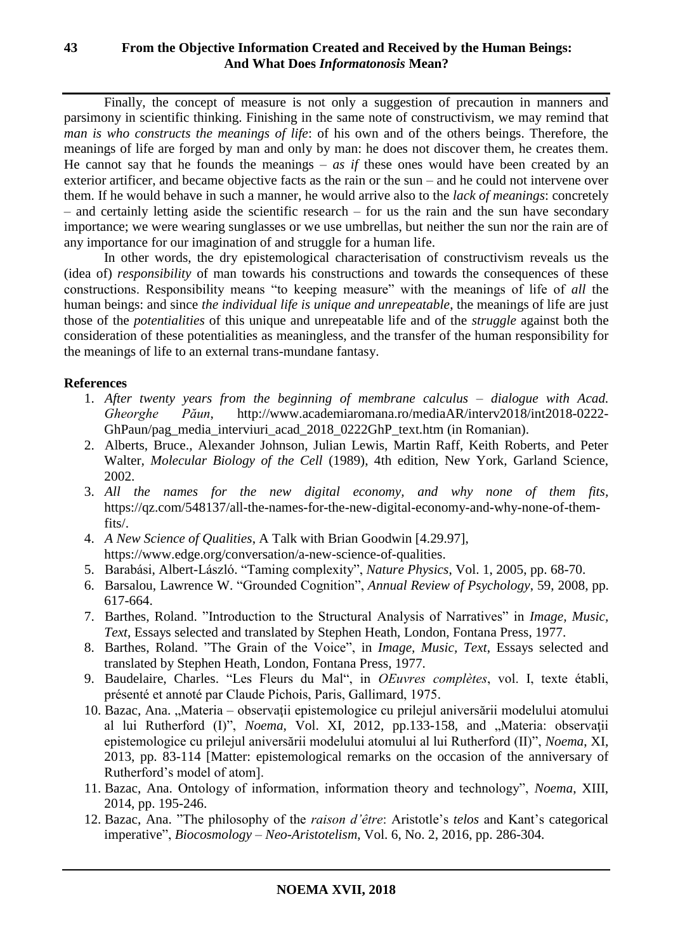# **43 From the Objective Information Created and Received by the Human Beings: And What Does** *Informatonosis* **Mean?**

Finally, the concept of measure is not only a suggestion of precaution in manners and parsimony in scientific thinking. Finishing in the same note of constructivism, we may remind that *man is who constructs the meanings of life*: of his own and of the others beings. Therefore, the meanings of life are forged by man and only by man: he does not discover them, he creates them. He cannot say that he founds the meanings –  $as$  if these ones would have been created by an exterior artificer, and became objective facts as the rain or the sun – and he could not intervene over them. If he would behave in such a manner, he would arrive also to the *lack of meanings*: concretely – and certainly letting aside the scientific research – for us the rain and the sun have secondary importance; we were wearing sunglasses or we use umbrellas, but neither the sun nor the rain are of any importance for our imagination of and struggle for a human life.

In other words, the dry epistemological characterisation of constructivism reveals us the (idea of) *responsibility* of man towards his constructions and towards the consequences of these constructions. Responsibility means "to keeping measure" with the meanings of life of *all* the human beings: and since *the individual life is unique and unrepeatable*, the meanings of life are just those of the *potentialities* of this unique and unrepeatable life and of the *struggle* against both the consideration of these potentialities as meaningless, and the transfer of the human responsibility for the meanings of life to an external trans-mundane fantasy.

# **References**

- 1. *After twenty years from the beginning of membrane calculus – dialogue with Acad. Gheorghe Păun*, http://www.academiaromana.ro/mediaAR/interv2018/int2018-0222- GhPaun/pag\_media\_interviuri\_acad\_2018\_0222GhP\_text.htm (in Romanian).
- 2. Alberts, Bruce., Alexander Johnson, Julian Lewis, Martin Raff, Keith Roberts, and Peter Walter*, Molecular Biology of the Cell* (1989), 4th edition, New York, Garland Science, 2002.
- 3. *All the names for the new digital economy, and why none of them fits,* https://qz.com/548137/all-the-names-for-the-new-digital-economy-and-why-none-of-themfits/.
- 4. *A New Science of Qualities*, A Talk with Brian Goodwin [4.29.97], https://www.edge.org/conversation/a-new-science-of-qualities.
- 5. Barabási, Albert-László. "Taming complexity", *Nature Physics*, Vol. 1, 2005, pp. 68-70.
- 6. Barsalou, Lawrence W. "Grounded Cognition", *Annual Review of Psychology*, 59, 2008, pp. 617-664.
- 7. Barthes, Roland. "Introduction to the Structural Analysis of Narratives" in *Image, Music, Text*, Essays selected and translated by Stephen Heath, London, Fontana Press, 1977.
- 8. Barthes, Roland. "The Grain of the Voice", in *Image, Music, Text*, Essays selected and translated by Stephen Heath, London, Fontana Press, 1977.
- 9. Baudelaire, Charles. "Les Fleurs du Mal", in *OEuvres complètes*, vol. I, texte établi, présenté et annoté par Claude Pichois, Paris, Gallimard, 1975.
- 10. Bazac, Ana. "Materia observații epistemologice cu prilejul aniversării modelului atomului al lui Rutherford (I)", *Noema*, Vol. XI, 2012, pp.133-158, and "Materia: observații epistemologice cu prilejul aniversării modelului atomului al lui Rutherford (II)", *Noema*, XI, 2013, pp. 83-114 [Matter: epistemological remarks on the occasion of the anniversary of Rutherford's model of atom].
- 11. Bazac, Ana. Ontology of information, information theory and technology", *Noema*, XIII, 2014, pp. 195-246.
- 12. Bazac, Ana. "The philosophy of the *raison d'être*: Aristotle's *telos* and Kant's categorical imperative", *Biocosmology – Neo-Aristotelism*, Vol. 6, No. 2, 2016, pp. 286-304.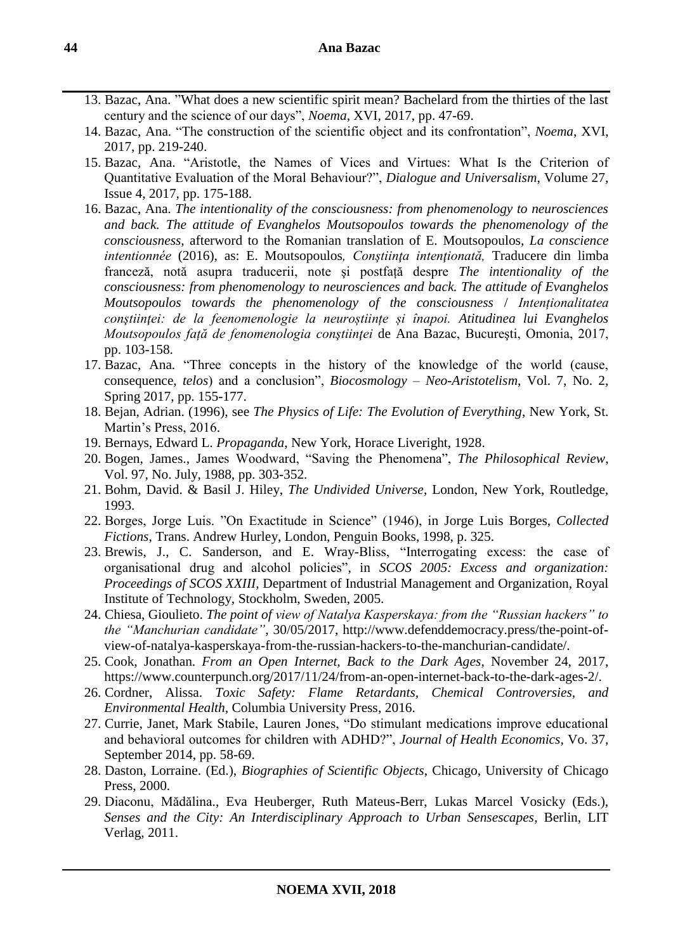- 13. Bazac, Ana. "What does a new scientific spirit mean? Bachelard from the thirties of the last century and the science of our days", *Noema*, XVI, 2017, pp. 47-69.
- 14. Bazac, Ana. "The construction of the scientific object and its confrontation", *Noema*, XVI, 2017, pp. 219-240.
- 15. Bazac, Ana. "Aristotle, the Names of Vices and Virtues: What Is the Criterion of Quantitative Evaluation of the Moral Behaviour?", *Dialogue and Universalism*, Volume 27, Issue 4, 2017, pp. 175-188.
- 16. Bazac, Ana. *The intentionality of the consciousness: from phenomenology to neurosciences and back. The attitude of Evanghelos Moutsopoulos towards the phenomenology of the consciousness*, afterword to the Romanian translation of E. Moutsopoulos, *La conscience intentionnée* (2016), as: E. Moutsopoulos. Constiinta intentionată. Traducere din limba franceză, notă asupra traducerii, note şi postfață despre *The intentionality of the consciousness: from phenomenology to neurosciences and back. The attitude of Evanghelos Moutsopoulos towards the phenomenology of the consciousness* / *Intenționalitatea conştiinţei: de la feenomenologie la neuroștiințe și înapoi. Atitudinea lui Evanghelos Moutsopoulos față de fenomenologia conştiinţei* de Ana Bazac, Bucureşti, Omonia, 2017, pp. 103-158.
- 17. Bazac, Ana. "Three concepts in the history of the knowledge of the world (cause, consequence, *telos*) and a conclusion", *Biocosmology – Neo-Aristotelism*, Vol. 7, No. 2, Spring 2017, pp. 155-177.
- 18. Bejan, Adrian. (1996), see *The Physics of Life: The Evolution of Everything*, New York, St. Martin's Press, 2016.
- 19. Bernays, Edward L. *Propaganda*, New York, Horace Liveright, 1928.
- 20. Bogen, James., James Woodward, "Saving the Phenomena", *The Philosophical Review*, Vol. 97, No. July, 1988, pp. 303-352.
- 21. Bohm, David. & Basil J. Hiley, *The Undivided Universe*, London, New York, Routledge, 1993.
- 22. Borges, Jorge Luis. "On Exactitude in Science" (1946), in Jorge Luis Borges, *Collected Fictions*, Trans. Andrew Hurley, London, Penguin Books, 1998, p. 325.
- 23. Brewis, J., C. Sanderson, and E. Wray-Bliss, "Interrogating excess: the case of organisational drug and alcohol policies", in *SCOS 2005: Excess and organization: Proceedings of SCOS XXIII*, Department of Industrial Management and Organization, Royal Institute of Technology, Stockholm, Sweden, 2005.
- 24. Chiesa, Gioulieto. *The point of view of Natalya Kasperskaya: from the "Russian hackers" to the "Manchurian candidate"*, 30/05/2017, http://www.defenddemocracy.press/the-point-ofview-of-natalya-kasperskaya-from-the-russian-hackers-to-the-manchurian-candidate/.
- 25. Cook, Jonathan. *From an Open Internet, Back to the Dark Ages*, November 24, 2017, https://www.counterpunch.org/2017/11/24/from-an-open-internet-back-to-the-dark-ages-2/.
- 26. Cordner, Alissa. *Toxic Safety: Flame Retardants, Chemical Controversies, and Environmental Health*, Columbia University Press, 2016.
- 27. Currie, Janet, Mark Stabile, Lauren Jones, "Do stimulant medications improve educational and behavioral outcomes for children with ADHD?", *Journal of Health Economics*, Vo. 37, September 2014, pp. 58-69.
- 28. Daston, Lorraine. (Ed.), *Biographies of Scientific Objects*, Chicago, University of Chicago Press, 2000.
- 29. Diaconu, Mădălina., Eva Heuberger, Ruth Mateus-Berr, Lukas Marcel Vosicky (Eds.), *Senses and the City: An Interdisciplinary Approach to Urban Sensescapes*, Berlin, LIT Verlag, 2011.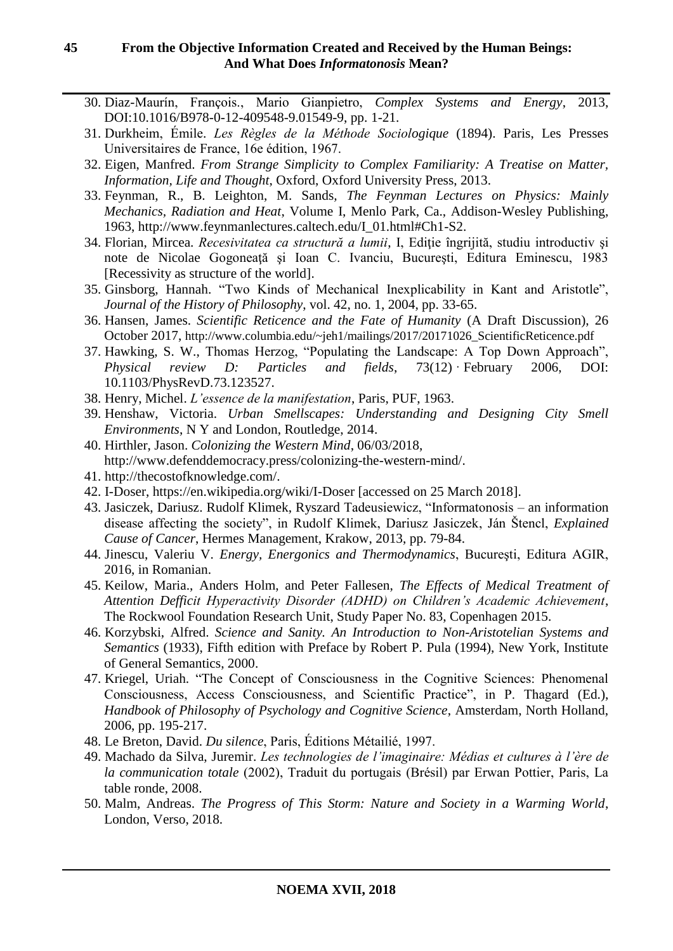- 30. Diaz-Maurín, François., Mario Gianpietro, *Complex Systems and Energy*, 2013, DOI:10.1016/B978-0-12-409548-9.01549-9, pp. 1-21.
- 31. Durkheim, Émile. *Les Règles de la Méthode Sociologique* (1894). Paris, Les Presses Universitaires de France, 16e édition, 1967.
- 32. Eigen, Manfred. *From Strange Simplicity to Complex Familiarity: A Treatise on Matter, Information, Life and Thought*, Oxford, Oxford University Press, 2013.
- 33. Feynman, R., B. Leighton, M. Sands*, The Feynman Lectures on Physics: Mainly Mechanics, Radiation and Heat*, Volume I, Menlo Park, Ca., Addison-Wesley Publishing, 1963, http://www.feynmanlectures.caltech.edu/I\_01.html#Ch1-S2.
- 34. Florian, Mircea. *Recesivitatea ca structură a lumii*, I, Ediţie îngrijită, studiu introductiv şi note de Nicolae Gogoneaţă şi Ioan C. Ivanciu, Bucureşti, Editura Eminescu, 1983 [Recessivity as structure of the world].
- 35. Ginsborg, Hannah. "Two Kinds of Mechanical Inexplicability in Kant and Aristotle", *Journal of the History of Philosophy*, vol. 42, no. 1, 2004, pp. 33-65.
- 36. Hansen, James. *Scientific Reticence and the Fate of Humanity* (A Draft Discussion), 26 October 2017, http://www.columbia.edu/~jeh1/mailings/2017/20171026\_ScientificReticence.pdf
- 37. Hawking, S. W., Thomas Herzog, "Populating the Landscape: A Top Down Approach", *Physical review D: Particles and fields*, 73(12) · February 2006, DOI: 10.1103/PhysRevD.73.123527.
- 38. Henry, Michel. *L'essence de la manifestation*, Paris, PUF, 1963.
- 39. Henshaw, Victoria. *Urban Smellscapes: Understanding and Designing City Smell Environments*, N Y and London, Routledge, 2014.
- 40. Hirthler, Jason. *Colonizing the Western Mind*, 06/03/2018, http://www.defenddemocracy.press/colonizing-the-western-mind/.
- 41. http://thecostofknowledge.com/.
- 42. I-Doser, https://en.wikipedia.org/wiki/I-Doser [accessed on 25 March 2018].
- 43. Jasiczek, Dariusz. Rudolf Klimek, Ryszard Tadeusiewicz, "Informatonosis an information disease affecting the society", in Rudolf Klimek, Dariusz Jasiczek, Ján Štencl, *Explained Cause of Cancer*, Hermes Management, Krakow, 2013, pp. 79-84.
- 44. Jinescu, Valeriu V. *Energy, Energonics and Thermodynamics*, Bucureşti, Editura AGIR, 2016, in Romanian.
- 45. Keilow, Maria., Anders Holm, and Peter Fallesen, *The Effects of Medical Treatment of Attention Defficit Hyperactivity Disorder (ADHD) on Children's Academic Achievement*, The Rockwool Foundation Research Unit, Study Paper No. 83, Copenhagen 2015.
- 46. Korzybski, Alfred. *Science and Sanity. An Introduction to Non-Aristotelian Systems and Semantics* (1933), Fifth edition with Preface by Robert P. Pula (1994), New York, Institute of General Semantics, 2000.
- 47. Kriegel, Uriah. "The Concept of Consciousness in the Cognitive Sciences: Phenomenal Consciousness, Access Consciousness, and Scientific Practice", in P. Thagard (Ed.), *Handbook of Philosophy of Psychology and Cognitive Science*, Amsterdam, North Holland, 2006, pp. 195-217.
- 48. Le Breton, David. *Du silence*, Paris, Éditions Métailié, 1997.
- 49. Machado da Silva, Juremir. *Les technologies de l'imaginaire: Médias et cultures à l'ère de la communication totale* (2002), Traduit du portugais (Brésil) par Erwan Pottier, Paris, La table ronde, 2008.
- 50. Malm, Andreas. *The Progress of This Storm: Nature and Society in a Warming World*, London, Verso, 2018.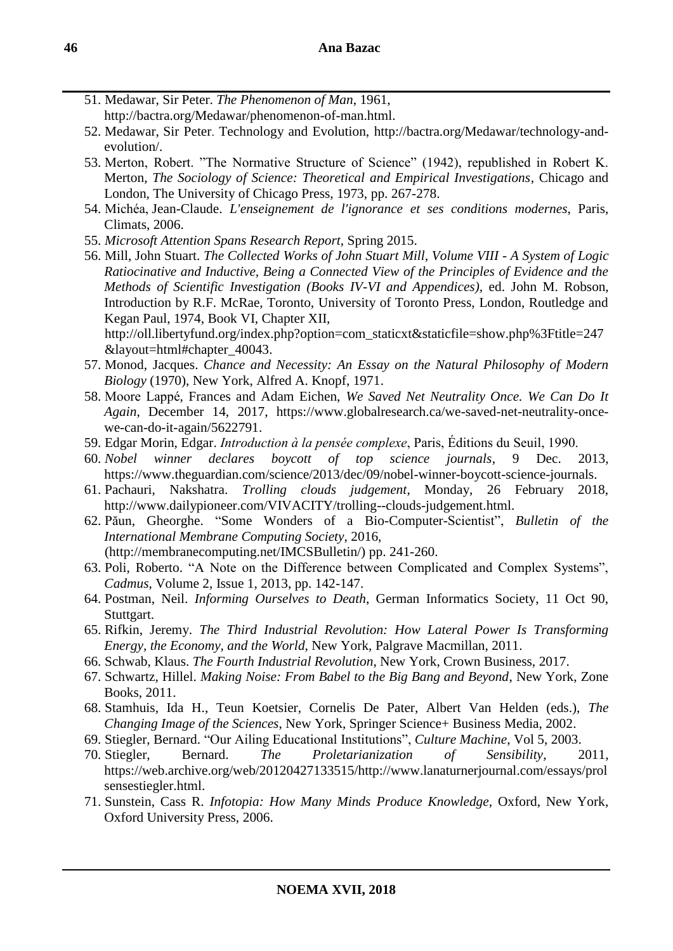- 51. Medawar, Sir Peter. *The Phenomenon of Man*, 1961, http://bactra.org/Medawar/phenomenon-of-man.html.
- 52. Medawar, Sir Peter. Technology and Evolution, http://bactra.org/Medawar/technology-andevolution/.
- 53. Merton, Robert. "The Normative Structure of Science" (1942), republished in Robert K. Merton, *The Sociology of Science: Theoretical and Empirical Investigations*, Chicago and London, The University of Chicago Press, 1973, pp. 267-278.
- 54. Michéa, Jean-Claude. *L'enseignement de l'ignorance et ses conditions modernes*, Paris, Climats, 2006.
- 55. *Microsoft Attention Spans Research Report*, Spring 2015.
- 56. Mill, John Stuart. *The Collected Works of John Stuart Mill, Volume VIII - A System of Logic Ratiocinative and Inductive, Being a Connected View of the Principles of Evidence and the Methods of Scientific Investigation (Books IV-VI and Appendices),* ed. John M. Robson, Introduction by R.F. McRae, Toronto, University of Toronto Press, London, Routledge and Kegan Paul, 1974, Book VI, Chapter XII,

http://oll.libertyfund.org/index.php?option=com\_staticxt&staticfile=show.php%3Ftitle=247 &layout=html#chapter\_40043.

- 57. Monod, Jacques. *Chance and Necessity: An Essay on the Natural Philosophy of Modern Biology* (1970), New York, Alfred A. Knopf, 1971.
- 58. Moore Lappé, Frances and Adam Eichen, *We Saved Net Neutrality Once. We Can Do It Again*, December 14, 2017, https://www.globalresearch.ca/we-saved-net-neutrality-oncewe-can-do-it-again/5622791.
- 59. Edgar Morin, Edgar. *Introduction à la pensée complexe*, Paris, Éditions du Seuil, 1990.
- 60. *Nobel winner declares boycott of top science journals*, 9 Dec. 2013, https://www.theguardian.com/science/2013/dec/09/nobel-winner-boycott-science-journals.
- 61. Pachauri, Nakshatra. *Trolling clouds judgement*, Monday, 26 February 2018, http://www.dailypioneer.com/VIVACITY/trolling--clouds-judgement.html.
- 62. Păun, Gheorghe. "Some Wonders of a Bio-Computer-Scientist", *Bulletin of the International Membrane Computing Society*, 2016, (http://membranecomputing.net/IMCSBulletin/) pp. 241-260.
- 63. Poli, Roberto. "A Note on the Difference between Complicated and Complex Systems", *Cadmus*, Volume 2, Issue 1, 2013, pp. 142-147.
- 64. Postman, Neil. *Informing Ourselves to Death*, German Informatics Society, 11 Oct 90, Stuttgart.
- 65. Rifkin, Jeremy. *The Third Industrial Revolution: How Lateral Power Is Transforming Energy, the Economy, and the World*, New York, Palgrave Macmillan, 2011.
- 66. Schwab, Klaus. *The Fourth Industrial Revolution*, New York, Crown Business, 2017.
- 67. Schwartz, Hillel. *Making Noise: From Babel to the Big Bang and Beyond*, New York, Zone Books, 2011.
- 68. Stamhuis, Ida H., Teun Koetsier, Cornelis De Pater, Albert Van Helden (eds.), *The Changing Image of the Sciences*, New York, Springer Science+ Business Media, 2002.
- 69. Stiegler, Bernard. "Our Ailing Educational Institutions", *Culture Machine*, Vol 5, 2003.
- 70. Stiegler, Bernard. *The Proletarianization of Sensibility*, 2011, https://web.archive.org/web/20120427133515/http://www.lanaturnerjournal.com/essays/prol sensestiegler.html.
- 71. Sunstein, Cass R. *Infotopia: How Many Minds Produce Knowledge*, Oxford, New York, Oxford University Press, 2006.